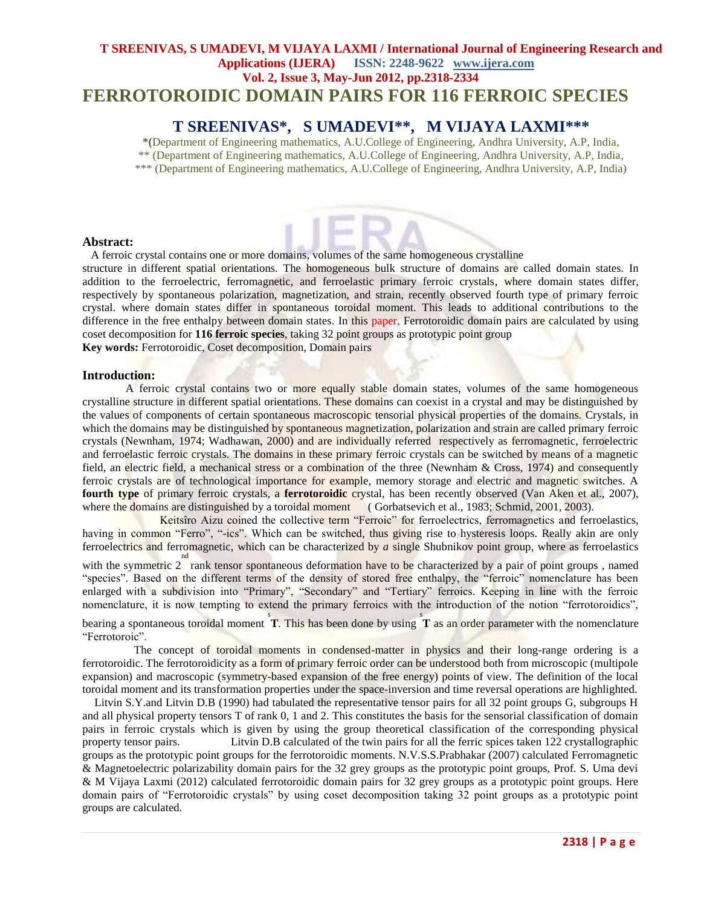### **T SREENIVAS, S UMADEVI, M VIJAYA LAXMI / International Journal of Engineering Research and Applications (IJERA) ISSN: 2248-9622 www.ijera.com Vol. 2, Issue 3, May-Jun 2012, pp.2318-2334 FERROTOROIDIC DOMAIN PAIRS FOR 116 FERROIC SPECIES**

### **T SREENIVAS\*, S UMADEVI\*\*, M VIJAYA LAXMI\*\*\***

**\*(**Department of Engineering mathematics, A.U.College of Engineering, Andhra University, A.P, India, \*\* (Department of Engineering mathematics, A.U.College of Engineering, Andhra University, A.P, India, \*\*\* (Department of Engineering mathematics, A.U.College of Engineering, Andhra University, A.P, India)

#### **Abstract:**

 A ferroic crystal contains one or more domains, volumes of the same homogeneous crystalline structure in different spatial orientations. The homogeneous bulk structure of domains are called domain states. In addition to the ferroelectric, ferromagnetic, and ferroelastic primary ferroic crystals, where domain states differ, respectively by spontaneous polarization, magnetization, and strain, recently observed fourth type of primary ferroic crystal. where domain states differ in spontaneous toroidal moment. This leads to additional contributions to the difference in the free enthalpy between domain states. In this paper, Ferrotoroidic domain pairs are calculated by using coset decomposition for **116 ferroic species**, taking 32 point groups as prototypic point group **Key words:** Ferrotoroidic, Coset decomposition, Domain pairs

#### **Introduction:**

A ferroic crystal contains two or more equally stable domain states, volumes of the same homogeneous crystalline structure in different spatial orientations. These domains can coexist in a crystal and may be distinguished by the values of components of certain spontaneous macroscopic tensorial physical properties of the domains. Crystals, in which the domains may be distinguished by spontaneous magnetization, polarization and strain are called primary ferroic crystals (Newnham, 1974; Wadhawan, 2000) and are individually referred respectively as ferromagnetic, ferroelectric and ferroelastic ferroic crystals. The domains in these primary ferroic crystals can be switched by means of a magnetic field, an electric field, a mechanical stress or a combination of the three (Newnham & Cross, 1974) and consequently ferroic crystals are of technological importance for example, memory storage and electric and magnetic switches. A **fourth type** of primary ferroic crystals, a **ferrotoroidic** crystal, has been recently observed (Van Aken et al., 2007), where the domains are distinguished by a toroidal moment (Gorbatsevich et al., 1983; Schmid, 2001, 2003).

 Keitsîro Aizu coined the collective term "Ferroic" for ferroelectrics, ferromagnetics and ferroelastics, having in common "Ferro", "-ics". Which can be switched, thus giving rise to hysteresis loops. Really akin are only ferroelectrics and ferromagnetic, which can be characterized by *a* single Shubnikov point group, where as ferroelastics

with the symmetric  $2^{nd}$  rank tensor spontaneous deformation have to be characterized by a pair of point groups, named "species". Based on the different terms of the density of stored free enthalpy, the "ferroic" nomenclature has been enlarged with a subdivision into "Primary", "Secondary" and "Tertiary" ferroics. Keeping in line with the ferroic nomenclature, it is now tempting to extend the primary ferroics with the introduction of the notion "ferrotoroidics",

bearing a spontaneous toroidal moment T. This has been done by using T as an order parameter with the nomenclature "Ferrotoroic".

 The concept of toroidal moments in condensed-matter in physics and their long-range ordering is a ferrotoroidic. The ferrotoroidicity as a form of primary ferroic order can be understood both from microscopic (multipole expansion) and macroscopic (symmetry-based expansion of the free energy) points of view. The definition of the local toroidal moment and its transformation properties under the space-inversion and time reversal operations are highlighted.

 Litvin S.Y.and Litvin D.B (1990) had tabulated the representative tensor pairs for all 32 point groups G, subgroups H and all physical property tensors T of rank 0, 1 and 2. This constitutes the basis for the sensorial classification of domain pairs in ferroic crystals which is given by using the group theoretical classification of the corresponding physical property tensor pairs. Litvin D.B calculated of the twin pairs for all the ferric spices taken 122 crystallographic groups as the prototypic point groups for the ferrotoroidic moments. N.V.S.S.Prabhakar (2007) calculated Ferromagnetic & Magnetoelectric polarizability domain pairs for the 32 grey groups as the prototypic point groups, Prof. S. Uma devi & M Vijaya Laxmi (2012) calculated ferrotoroidic domain pairs for 32 grey groups as a prototypic point groups. Here domain pairs of "Ferrotoroidic crystals" by using coset decomposition taking 32 point groups as a prototypic point groups are calculated.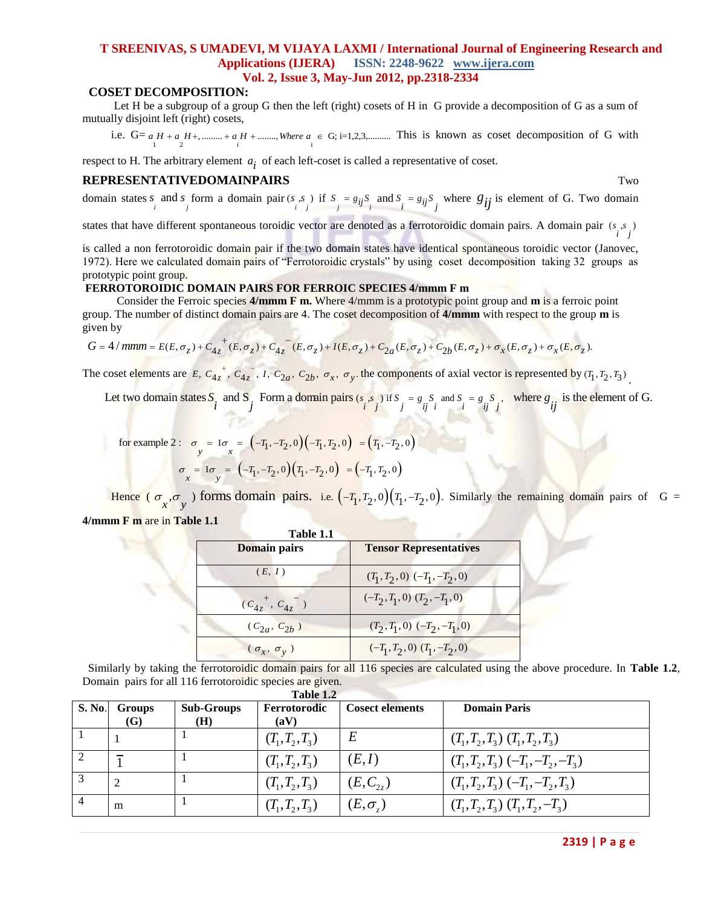### **T SREENIVAS, S UMADEVI, M VIJAYA LAXMI / International Journal of Engineering Research and Applications (IJERA) ISSN: 2248-9622 www.ijera.com Vol. 2, Issue 3, May-Jun 2012, pp.2318-2334**

#### **COSET DECOMPOSITION:**

 Let H be a subgroup of a group G then the left (right) cosets of H in G provide a decomposition of G as a sum of mutually disjoint left (right) cosets,

mutually disjoint left (right) cosets,<br>i.e.  $G = a H + a H + ... + a H + ...$  *where*  $a \in G$ ; i=1,2,3, *mann*. This is known as coset decomposition of G with

respect to H. The arbitrary element  $a_i$  of each left-coset is called a representative of coset.

#### **REPRESENTATIVEDOMAINPAIRS** Two

domain states *s* and *s* form a domain pair  $(s, s)$  if  $S_i = g_{ij}S_j$  and  $S_i = g_{ij}S_j$  where  $g_{ij}$  is element of G. Two domain

states that have different spontaneous toroidic vector are denoted as a ferrotoroidic domain pairs. A domain pair  $(s, s)$ 

is called a non ferrotoroidic domain pair if the two domain states have identical spontaneous toroidic vector (Janovec, 1972). Here we calculated domain pairs of "Ferrotoroidic crystals" by using coset decomposition taking 32 groups as prototypic point group.

#### **FERROTOROIDIC DOMAIN PAIRS FOR FERROIC SPECIES 4/mmm F m**

Consider the Ferroic species **4/mmm F m.** Where 4/mmm is a prototypic point group and **m** is a ferroic point group. The number of distinct domain pairs are 4. The coset decomposition of **4/mmm** with respect to the group Consider the Ferroic species 4/mmm F m. Where 4/mmm is a prototypic point group and m is a ferroic point<br>group. The number of distinct domain pairs are 4. The coset decomposition of 4/mmm with respect to the group m is<br>gi given by

$$
G = 4/mmm = E(E, \sigma_z) + C_{4z}^+(E, \sigma_z) + C_{4z}^-(E, \sigma_z) + I(E, \sigma_z) + C_{2a}(E, \sigma_z) + C_{2b}(E, \sigma_z) + \sigma_x(E, \sigma_z) + \sigma_x(E, \sigma_z).
$$

 The coset elements are E,  $C_{4z}^{\dagger}$ ,  $C_{4z}^{\dagger}$ , I,  $C_{2a}$ ,  $C_{2b}$ ,  $\sigma_x$ ,  $\sigma_y$ , the components of axial vector is represented by  $(T_1, T_2, T_3)$ .

coset elements are  $E, C_{4z}^+, C_{4z}^-, I, C_{2a}, C_{2b}, \sigma_x, \sigma_y$ , the components of axial vector is represented by  $(T_1, T_2, T_3)$ .<br>Let two domain states  $S_i$  and  $S_j$ . Form a domain pairs  $(s_i, s_j)$  if  $S_j = g_j S_j$  and  $S_i = g_j S_j$ , wher the components of axial vector<br>  $i^s j$  if  $S_j = g_j S_j$  and  $S_i = g_j S_j$ <br>  $i^s j$  if  $i^s i$ *S*  $\frac{4z^4}{i}$ ,  $C_{4z}$ <br>*i* and S<sub>*j*</sub> *ij*

for example 2: 
$$
\sigma_y = I\sigma_x = (-T_1, -T_2, 0)(-T_1, T_2, 0) = (T_1, -T_2, 0)
$$
  
 $\sigma_x = I\sigma_y = (-T_1, -T_2, 0)(T_1, -T_2, 0) = (-T_1, T_2, 0)$ 

Hence  $(\sigma_x, \sigma_y)$  forms domain pairs. i.e.  $(-T_1, T_2, 0)(T_1, -T_2, 0)$ . Similarly the remaining domain pairs of G = **4/mmm F m** are in **Table 1.1**

| Table 1.1              |                                   |
|------------------------|-----------------------------------|
| <b>Domain pairs</b>    | <b>Tensor Representatives</b>     |
| (E, I)                 | $(T_1, T_2, 0)$ $(-T_1, -T_2, 0)$ |
| $(c_{4z}^+, c_{4z}^-)$ | $(-T_2, T_1, 0)$ $(T_2, -T_1, 0)$ |
| $(C_{2a}, C_{2b})$     | $(T_2, T_1, 0)$ $(-T_2, -T_1, 0)$ |
| $(\sigma_x, \sigma_y)$ | $(-T_1, T_2, 0)$ $(T_1, -T_2, 0)$ |

Similarly by taking the ferrotoroidic domain pairs for all 116 species are calculated using the above procedure. In **Table 1.2**, Domain pairs for all 116 ferrotoroidic species are given.

|        | Table 1.2     |                   |                   |                        |                                      |  |  |  |  |
|--------|---------------|-------------------|-------------------|------------------------|--------------------------------------|--|--|--|--|
| S. No. | <b>Groups</b> | <b>Sub-Groups</b> | Ferrotorodic      | <b>Cosect elements</b> | <b>Domain Paris</b>                  |  |  |  |  |
|        | <b>(G)</b>    | (H)               | (aV)              |                        |                                      |  |  |  |  |
|        |               |                   | $(T_1, T_2, T_3)$ | $E\,$                  | $(T_1, T_2, T_3)$ $(T_1, T_2, T_3)$  |  |  |  |  |
| 2      |               |                   | $(T_1, T_2, T_3)$ | (E,I)                  | $(T_1, T_2, T_3) (-T_1, -T_2, -T_3)$ |  |  |  |  |
|        |               |                   | $(T_1, T_2, T_3)$ | $(E, C_{2z})$          | $(T_1, T_2, T_3) (-T_1, -T_2, T_3)$  |  |  |  |  |
|        | m             |                   | $(T_1, T_2, T_3)$ | $(E,\sigma)$           | $(T_1, T_2, T_3)$ $(T_1, T_2, -T_3)$ |  |  |  |  |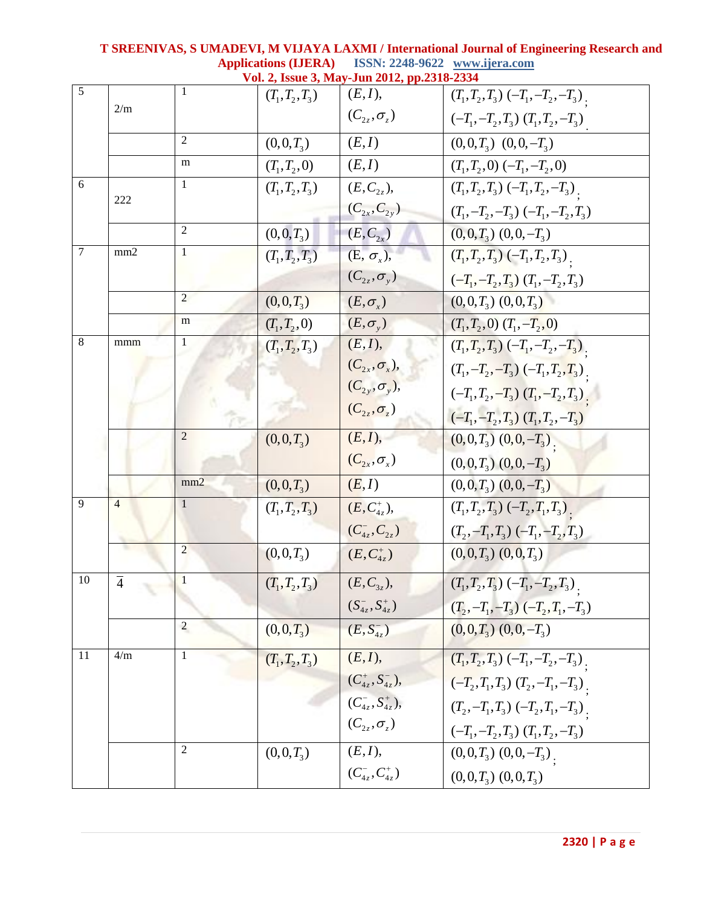|                | Vol. 2, Issue 3, May-Jun 2012, pp.2318-2334 |                |                   |                         |                                          |  |
|----------------|---------------------------------------------|----------------|-------------------|-------------------------|------------------------------------------|--|
| $\overline{5}$ |                                             |                | $(T_1, T_2, T_3)$ | (E, I),                 | $(T_1, T_2, T_3) (-T_1, -T_2, -T_3)$ .   |  |
|                | 2/m                                         |                |                   | $(C_{2z},\sigma_z)$     | $(-T_1, -T_2, T_3)$ $(T_1, T_2, -T_3)$   |  |
|                |                                             | $\overline{2}$ | $(0,0,T_3)$       | (E,I)                   | $(0,0,T_3)$ $(0,0,-T_3)$                 |  |
|                |                                             | m              | $(T_1, T_2, 0)$   | (E,I)                   | $(T_1, T_2, 0) (-T_1, -T_2, 0)$          |  |
| 6              |                                             | 1              | $(T_1, T_2, T_3)$ | $(E, C_{2z}),$          | $(T_1, T_2, T_3) (-T_1, T_2, -T_3)$ .    |  |
|                | 222                                         |                |                   | $(C_{2x}, C_{2y})$      | $(T_1, -T_2, -T_3)$ $(-T_1, -T_2, T_3)$  |  |
|                |                                             | $\overline{2}$ | $(0,0,T_3)$       | $(E, C_{2x})$           | $(0,0,T_3)$ $(0,0,-T_3)$                 |  |
| $\overline{7}$ | mm <sub>2</sub>                             | $\mathbf{1}$   | $(T_1, T_2, T_3)$ | $(E, \sigma_x),$        | $(T_1, T_2, T_3) (-T_1, T_2, T_3)$       |  |
|                |                                             |                |                   | $(C_{2z},\sigma_{y})$   | $(-T_1, -T_2, T_3)$ $(T_1, -T_2, T_3)$   |  |
|                |                                             | $\overline{2}$ | $(0,0,T_3)$       | $(E, \sigma_{\rm r})$   | $(0,0,T_3)$ $(0,0,T_3)$                  |  |
|                |                                             | m              | $(T_1, T_2, 0)$   | $(E,\sigma_{v})$        | $(T_1, T_2, 0)$ $(T_1, -T_2, 0)$         |  |
| 8              | mmm                                         | 1              | $(T_1, T_2, T_3)$ | (E, I),                 | $(T_1, T_2, T_3) (-T_1, -T_2, -T_3)$     |  |
|                |                                             |                |                   | $(C_{2x}, \sigma_x),$   | $(T_1, -T_2, -T_3)$ $(-T_1, T_2, T_3)$ . |  |
|                |                                             |                |                   | $(C_{2y}, \sigma_y),$   | $(-T_1, T_2, -T_3)$ $(T_1, -T_2, T_3)$ . |  |
|                |                                             |                |                   | $(C_{2z},\sigma_z)$     | $(-T_1, -T_2, T_3)$ $(T_1, T_2, -T_3)$   |  |
|                |                                             | $\overline{2}$ | $(0,0,T_3)$       | (E, I),                 | $(0,0,T_3)$ $(0,0,-T_3)$                 |  |
|                |                                             |                |                   | $(C_{2x},\sigma_{x})$   | $(0,0,T_3)$ $(0,0,-T_3)$                 |  |
|                |                                             | mm2            | $(0,0,T_3)$       | (E, I)                  | $(0,0,T_3)$ $(0,0,-T_3)$                 |  |
| 9              | $\overline{4}$                              | 1              | $(T_1, T_2, T_3)$ | $(E, C_{4z}^+),$        | $(T_1, T_2, T_3)$ $(-T_2, T_1, T_3)$ .   |  |
|                |                                             |                |                   | $(C_{4z}^-, C_{2z})$    | $(T_2, -T_1, T_3) (-T_1, -T_2, T_3)$     |  |
|                |                                             | $\overline{2}$ | $(0,0,T_3)$       | $(E, C_{4z}^+)$         | $(0,0,T_3)$ $(0,0,T_3)$                  |  |
| 10             | $\overline{4}$                              | $\mathbf{1}$   | $(T_1, T_2, T_3)$ | $(E, C_{3z}),$          | $(T_1, T_2, T_3)$ $(-T_1, -T_2, T_3)$ .  |  |
|                |                                             |                |                   | $(S_{4z}^-, S_{4z}^+)$  | $(T_2, -T_1, -T_3) (-T_2, T_1, -T_3)$    |  |
|                |                                             | $\overline{c}$ | $(0,0,T_3)$       | $(E, S_{4z}^{-})$       | $(0,0,T_3)$ $(0,0,-T_3)$                 |  |
| 11             | 4/m                                         | 1              | $(T_1, T_2, T_3)$ | (E, I),                 | $(T_1, T_2, T_3) (-T_1, -T_2, -T_3)$     |  |
|                |                                             |                |                   | $(C_{4z}^+, S_{4z}^-),$ | $(-T_2, T_1, T_3)$ $(T_2, -T_1, -T_3)$ . |  |
|                |                                             |                |                   | $(C_{4z}^-, S_{4z}^+),$ | $(T_2, -T_1, T_3) (-T_2, T_1, -T_3)$     |  |
|                |                                             |                |                   | $(C_{2z},\sigma_z)$     | $(-T_1, -T_2, T_3)$ $(T_1, T_2, -T_3)$   |  |
|                |                                             | 2              | $(0,0,T_3)$       | (E, I),                 | $(0,0,T_3)$ $(0,0,-T_3)$ .               |  |
|                |                                             |                |                   | $(C_{4z}^-, C_{4z}^+)$  | $(0,0,T_3)$ $(0,0,T_3)$                  |  |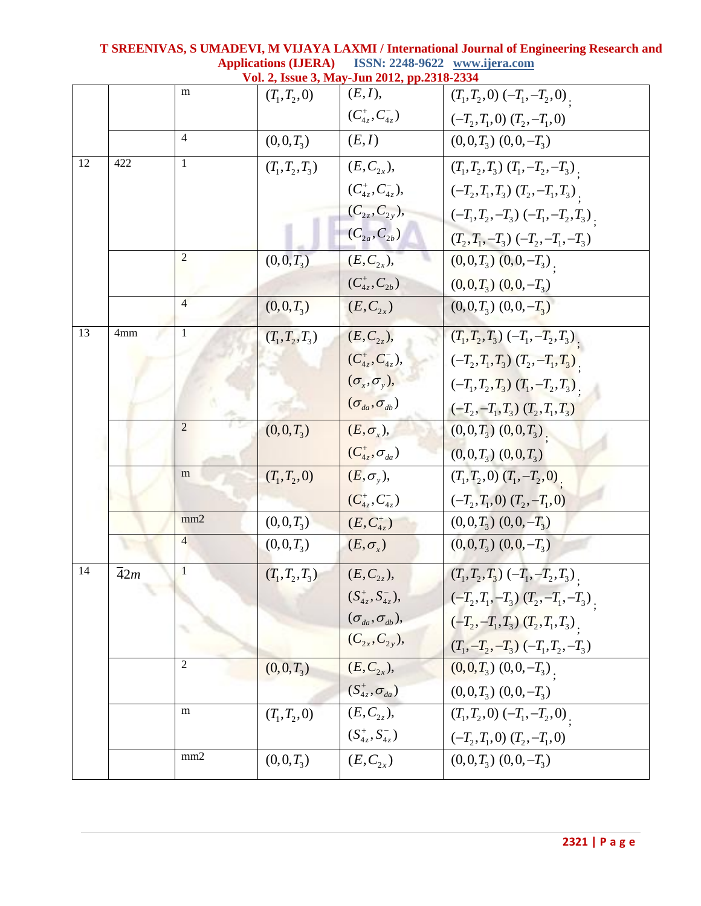|    |                  |                 |                   | Vol. 2, Issue 3, May-Jun 2012, pp.2318-2334 |                                           |
|----|------------------|-----------------|-------------------|---------------------------------------------|-------------------------------------------|
|    |                  | m               | $(T_1, T_2, 0)$   | (E, I),                                     | $(T_1, T_2, 0) (-T_1, -T_2, 0)$ .         |
|    |                  |                 |                   | $(C_{4z}^+, C_{4z}^-)$                      | $(-T_2,T_1,0)$ $(T_2,-T_1,0)$             |
|    |                  | 4               | $(0,0,T_3)$       | (E,I)                                       | $(0,0,T_3)$ $(0,0,-T_3)$                  |
| 12 | 422              | 1               | $(T_1, T_2, T_3)$ | $(E, C_{2x}),$                              | $(T_1, T_2, T_3)$ $(T_1, -T_2, -T_3)$ .   |
|    |                  |                 |                   | $(C_{4z}^+, C_{4z}^-),$                     | $(-T_2, T_1, T_3)$ $(T_2, -T_1, T_3)$     |
|    |                  |                 |                   | $(C_{2z}, C_{2y}),$                         | $(-T_1, T_2, -T_3)$ $(-T_1, -T_2, T_3)$ . |
|    |                  |                 |                   | $(C_{2a}, C_{2b})$                          | $(T_2, T_1, -T_3) (-T_2, -T_1, -T_3)$     |
|    |                  | $\overline{2}$  | $(0,0,T_3)$       | $(E, C_{2x}),$                              | $(0,0,T_3)$ $(0,0,-T_3)$                  |
|    |                  |                 |                   | $(C_{4z}^+, C_{2b})$                        | $(0,0,T_3)$ $(0,0,-T_3)$                  |
|    |                  | 4               | $(0,0,T_3)$       | $(E, C_{2x})$                               | $(0,0,T_3)$ $(0,0,-T_3)$                  |
| 13 | 4mm              | 1               | $(T_1, T_2, T_3)$ | $(E, C_{2z}),$                              | $(T_1, T_2, T_3) (-T_1, -T_2, T_3)$       |
|    |                  |                 |                   | $(C_{4z}^+, C_{4z}^-),$                     | $(-T_2, T_1, T_3)$ $(T_2, -T_1, T_3)$     |
|    |                  |                 |                   | $(\sigma_x, \sigma_y),$                     | $(-T_1, T_2, T_3)$ $(T_1, -T_2, T_3)$     |
|    |                  |                 |                   | $(\sigma_{da}, \sigma_{db})$                | $(-T_2, -T_1, T_3)$ $(T_2, T_1, T_3)$     |
|    |                  | $\overline{2}$  | $(0,0,T_3)$       | $(E, \sigma_x),$                            | $(0,0,T_3)$ $(0,0,T_3)$                   |
|    |                  |                 |                   | $(C_{4z}^*, \sigma_{da})$                   | $(0,0,T_3)$ $(0,0,T_3)$                   |
|    |                  | m               | $(T_1, T_2, 0)$   | $(E, \sigma_{v}),$                          | $(T_1, T_2, 0)$ $(T_1, -T_2, 0)$          |
|    |                  |                 |                   | $(C_{4z}^+, C_{4z}^-)$                      | $(-T_2, T_1, 0)$ $(T_2, -T_1, 0)$         |
|    |                  | mm <sub>2</sub> | $(0,0,T_3)$       | $(E, C_{4z}^+)$                             | $(0,0,T_3)$ $(0,0,-T_3)$                  |
|    |                  | $\overline{4}$  | $(0,0,T_3)$       | $(E, \sigma_{\rm r})$                       | $(0,0,T_3)$ $(0,0,-T_3)$                  |
| 14 | $\overline{4}2m$ | $\mathbf{1}$    | $(T_1, T_2, T_3)$ | $(E, C_{2z}),$                              | $(T_1, T_2, T_3) (-T_1, -T_2, T_3)$       |
|    |                  |                 |                   | $(S_{4z}^+, S_{4z}^-),$                     | $(-T_2,T_1,-T_3)$ $(T_2,-T_1,-T_3)$ .     |
|    |                  |                 |                   | $(\sigma_{_{da}}, \sigma_{_{db}}),$         | $(-T_2, -T_1, T_3)$ $(T_2, T_1, T_3)$ .   |
|    |                  |                 |                   | $(C_{2x}, C_{2y}),$                         | $(T_1, -T_2, -T_3) (-T_1, T_2, -T_3)$     |
|    |                  | 2               | $(0,0,T_3)$       | $(E, C_{2x}),$                              | $(0,0,T_3)$ $(0,0,-T_3)$ .                |
|    |                  |                 |                   | $(S_{4z}^*, \sigma_{da})$                   | $(0,0,T_3)$ $(0,0,-T_3)$                  |
|    |                  | m               | $(T_1, T_2, 0)$   | $(E, C_{2z}),$                              | $(T_1, T_2, 0) (-T_1, -T_2, 0)$           |
|    |                  |                 |                   | $(S_{4z}^+, S_{4z}^-)$                      | $(-T_2, T_1, 0)$ $(T_2, -T_1, 0)$         |
|    |                  | mm2             | $(0,0,T_3)$       | $(E, C_{2x})$                               | $(0,0,T_3)$ $(0,0,-T_3)$                  |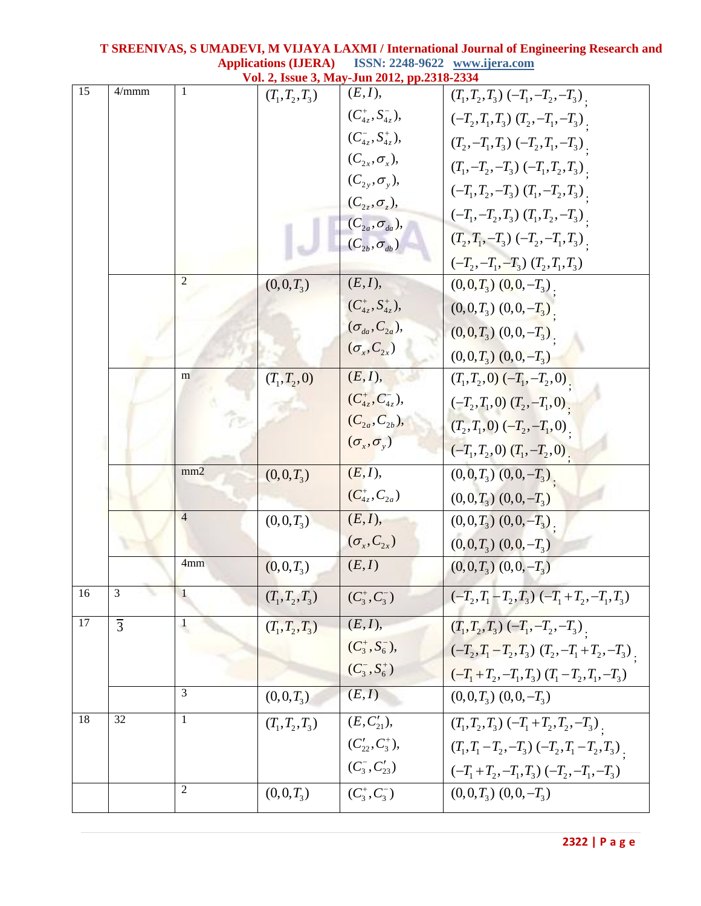|    |                |                  |                   | Vol. 2, Issue 3, May-Jun 2012, pp.2318-2334          |                                                         |
|----|----------------|------------------|-------------------|------------------------------------------------------|---------------------------------------------------------|
| 15 | 4/mmm          | 1                | $(T_1, T_2, T_3)$ | (E, I),                                              | $(T_1, T_2, T_3) (-T_1, -T_2, -T_3)$                    |
|    |                |                  |                   | $(C_{4z}^+, S_{4z}^-),$                              | $(-T_2, T_1, T_3)$ $(T_2, -T_1, -T_3)$ .                |
|    |                |                  |                   | $(C_{4z}^-, S_{4z}^+),$                              | $(T_2, -T_1, T_3) (-T_2, T_1, -T_3)$ .                  |
|    |                |                  |                   | $(C_{2x}, \sigma_x),$                                | $(T_1, -T_2, -T_3) (-T_1, T_2, T_3)$ .                  |
|    |                |                  |                   | $(C_{2y}, \sigma_y),$                                | $(-T_1, T_2, -T_3)$ $(T_1, -T_2, T_3)$ .                |
|    |                |                  |                   | $(C_{2z}, \sigma_z),$                                | $(-T_1, -T_2, T_3)$ $(T_1, T_2, -T_3)$ .                |
|    |                |                  |                   | $(C_{2a}, \sigma_{da})$ ,<br>$(C_{2b}, \sigma_{db})$ | $(T_2, T_1, -T_3) (-T_2, -T_1, T_3)$                    |
|    |                |                  |                   |                                                      | $(-T_2, -T_1, -T_3)$ $(T_2, T_1, T_3)$                  |
|    |                | $\mathfrak{2}$   | $(0,0,T_3)$       | (E, I),                                              | $(0,0,T_3)$ $(0,0,-T_3)$                                |
|    |                |                  |                   | $(C_{4z}^+, S_{4z}^+),$                              | $(0,0,T_3)$ $(0,0,-T_3)$                                |
|    |                |                  |                   | $(\sigma_{da}, C_{2a}),$                             | $(0,0,T_3)$ $(0,0,-T_3)$                                |
|    |                |                  |                   | $(\sigma_{\rm x}, C_{\rm 2x})$                       | $(0,0,T_3)$ $(0,0,-T_3)$                                |
|    |                | m                | $(T_1, T_2, 0)$   | (E, I),                                              | $(T_1, T_2, 0)$ $(-T_1, -T_2, 0)$ .                     |
|    |                |                  |                   | $(C_{4z}^+, C_{4z}^-),$                              | $(-T_2, T_1, 0)$ $(T_2, -T_1, 0)$ .                     |
|    |                |                  |                   | $(C_{2a}, C_{2b})$ ,                                 | $(T_2, T_1, 0) (-T_2, -T_1, 0)$ .                       |
|    |                |                  |                   | $(\sigma_{x}, \sigma_{y})$                           | $(-T_1, T_2, 0)$ $(T_1, -T_2, 0)$ .                     |
|    |                | mm2              | $(0,0,T_3)$       | (E, I),                                              | $(0,0,T_3)$ $(0,0,-T_3)$ .                              |
|    |                |                  |                   | $(C_{4z}^+, C_{2a})$                                 | $(0,0,T_3)$ $(0,0,-T_3)$                                |
|    |                | $\overline{4}$   | $(0,0,T_3)$       | (E, I),                                              | $(0,0,T_3)$ $(0,0,-T_3)$ .                              |
|    |                |                  |                   | $(\sigma_x, C_{2x})$                                 | $(0,0,T_3)$ $(0,0,-T_3)$                                |
|    |                | 4mm              | $(0,0,T_3)$       | (E,I)                                                | $(0,0,T_3)$ $(0,0,-T_3)$                                |
| 16 | $\overline{3}$ | 1                | $(T_1, T_2, T_3)$ | $(C_3^+, C_3^-)$                                     | $(-T_2, T_1 - T_2, T_3)$ $(-T_1 + T_2, -T_1, T_3)$      |
| 17 | $\overline{3}$ | $\mathbf{1}$     | $(T_1, T_2, T_3)$ | $(E, I)$ ,                                           | $(T_1, T_2, T_3)$ $(-T_1, -T_2, -T_3)$ .                |
|    |                |                  |                   | $(C_3^+, S_6^-),$                                    | $\overline{(-T_2,T_1-T_2,T_3)}$ $(T_2,-T_1+T_2,-T_3)$ . |
|    |                |                  |                   | $(C_3^-, S_6^+)$                                     | $(-T_1+T_2,-T_1,T_3)$ $(T_1-T_2,T_1,-T_3)$              |
|    |                | 3                | $(0,0,T_3)$       | (E,I)                                                | $(0,0,T_3)$ $(0,0,-T_3)$                                |
| 18 | 32             | $\mathbf{1}$     | $(T_1, T_2, T_3)$ | $(E, C'_{21}),$                                      | $(T_1, T_2, T_3) (-T_1 + T_2, T_2, -T_3)$               |
|    |                |                  |                   | $(C'_{22}, C^{\dagger}_3),$                          | $(T_1, T_1 - T_2, -T_3) (-T_2, T_1 - T_2, T_3)$         |
|    |                |                  |                   | $(C_3^-, C_{23}')$                                   | $(-T_1+T_2,-T_1,T_3)$ $(-T_2,-T_1,-T_3)$                |
|    |                | $\boldsymbol{2}$ | $(0,0,T_3)$       | $(C_3^+, C_3^-)$                                     | $(0,0,T_3)$ $(0,0,-T_3)$                                |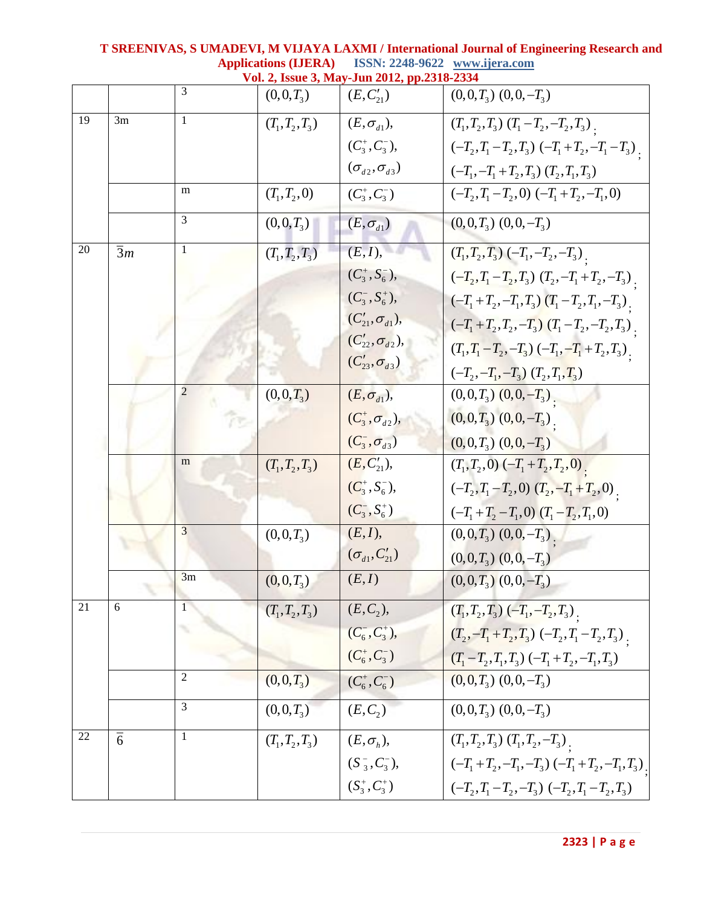|    |                 |                |                   | Vol. 2, Issue 3, May-Jun 2012, pp.2318-2334 |                                                       |
|----|-----------------|----------------|-------------------|---------------------------------------------|-------------------------------------------------------|
|    |                 | 3              | $(0,0,T_3)$       | $(E, C'_{21})$                              | $(0,0,T_3)$ $(0,0,-T_3)$                              |
| 19 | 3m              | 1              | $(T_1, T_2, T_3)$ | $(E, \sigma_{d1}),$                         | $(T_1, T_2, T_3)$ $(T_1 - T_2, -T_2, T_3)$            |
|    |                 |                |                   | $(C_3^+, C_3^-),$                           | $(-T_2, T_1 - T_2, T_3)$ $(-T_1 + T_2, -T_1 - T_3)$ . |
|    |                 |                |                   | $(\sigma_{d2}, \sigma_{d3})$                | $(-T_1, -T_1+T_2, T_3)$ $(T_2, T_1, T_3)$             |
|    |                 | m              | $(T_1, T_2, 0)$   | $(C_3^+, C_3^-)$                            | $(-T_2, T_1 - T_2, 0)$ $(-T_1 + T_2, -T_1, 0)$        |
|    |                 | 3              | $(0,0,T_3)$       | $(E, \sigma_{d1})$                          | $(0,0,T_3)$ $(0,0,-T_3)$                              |
| 20 | $\overline{3}m$ | $\mathbf{1}$   | $(T_1, T_2, T_3)$ | (E, I),                                     | $(T_1, T_2, T_3)$ $(-T_1, -T_2, -T_3)$ .              |
|    |                 |                |                   | $(C_3^+, S_6^-),$                           | $(-T_2, T_1 - T_2, T_3)$ $(T_2, -T_1 + T_2, -T_3)$ .  |
|    |                 |                |                   | $(C_3^-, S_6^+),$                           | $(-T_1+T_2,-T_1,T_3)$ $(T_1-T_2,T_1,-T_3)$            |
|    |                 |                |                   | $(C'_{21}, \sigma_{d1}),$                   | $(-T_1+T_2,T_2,-T_3)$ $(T_1-T_2,-T_2,T_3)$ .          |
|    |                 |                |                   | $(C'_{22}, \sigma_{d2}),$                   | $(T_1, T_1 - T_2, -T_3) (-T_1, -T_1 + T_2, T_3)$      |
|    |                 |                |                   | $(C'_{23}, \sigma_{d3})$                    | $(-T_2, -T_1, -T_3)$ $(T_2, T_1, T_3)$                |
|    |                 | $\overline{c}$ | $(0,0,T_3)$       | $(E, \sigma_{d1}),$                         | $(0,0,T_3)$ $(0,0,-T_3)$                              |
|    |                 |                |                   | $(C_3^+, \sigma_{d2}),$                     | $(0,0,T_3)$ $(0,0,-T_3)$                              |
|    |                 |                |                   | $(C_3^-,\sigma_{d3})$                       | $(0,0,T_3)$ $(0,0,-T_3)$                              |
|    |                 | m              | $(T_1, T_2, T_3)$ | $(E, C'_{21}),$                             | $(T_1, T_2, 0)$ $(-T_1 + T_2, T_2, 0)$ .              |
|    |                 |                |                   | $(C_3^+, S_6^-),$                           | $(-T_2, T_1 - T_2, 0)$ $(T_2, -T_1 + T_2, 0)$ .       |
|    |                 |                |                   | $(C_3^-, S_6^+)$                            | $(-T_1+T_2-T_1,0)$ $(T_1-T_2,T_1,0)$                  |
|    |                 | 3              | $(0,0,T_3)$       | (E, I),                                     | $(0,0,T_3)$ $(0,0,-T_3)$ .                            |
|    |                 |                |                   | $(\sigma_{d1}, C'_{21})$                    | $(0,0,T_3)$ $(0,0,-T_3)$                              |
|    |                 | 3m             | $(0,0,T_3)$       | (E, I)                                      | $(0,0,T_3)$ $(0,0,-T_3)$                              |
| 21 | 6               |                | $(T_1, T_2, T_3)$ | $(E, C_2),$                                 | $(T_1, T_2, T_3)$ $(-T_1, -T_2, T_3)$ .               |
|    |                 |                |                   | $(C_6^-, C_3^+),$                           | $(T_2, -T_1+T_2, T_3)$ $(-T_2, T_1-T_2, T_3)$ .       |
|    |                 |                |                   | $(C_6^+, C_3^-)$                            | $(T_1 - T_2, T_1, T_3)$ $(-T_1 + T_2, -T_1, T_3)$     |
|    |                 | $\overline{2}$ | $(0,0,T_3)$       | $(C_6^+, C_6^-)$                            | $(0,0,T_3)$ $(0,0,-T_3)$                              |
|    |                 | 3              | $(0,0,T_3)$       | $(E, C_2)$                                  | $(0,0,T_3)$ $(0,0,-T_3)$                              |
| 22 | $\overline{6}$  | 1              | $(T_1, T_2, T_3)$ | $(E, \sigma_{h}),$                          | $(T_1, T_2, T_3)$ $(T_1, T_2, -T_3)$ .                |
|    |                 |                |                   | $(S_3^-, C_3^-),$                           | $(-T_1+T_2,-T_1,-T_3)$ $(-T_1+T_2,-T_1,T_3)$          |
|    |                 |                |                   | $(S_3^+, C_3^+)$                            | $(-T_2, T_1 - T_2, -T_3)$ $(-T_2, T_1 - T_2, T_3)$    |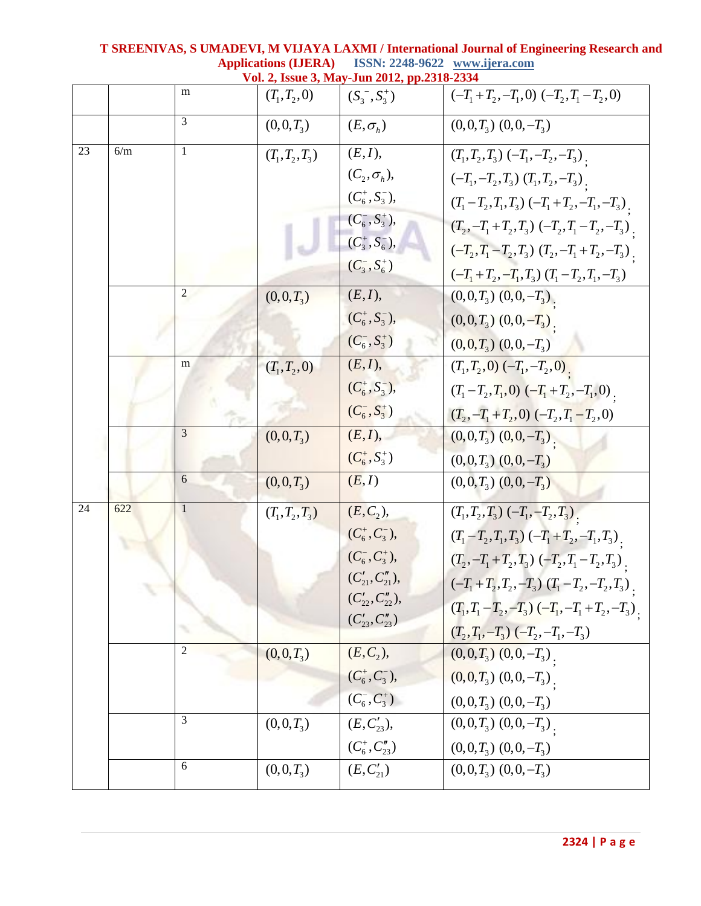|    |     |                | , issue $J$ , ivia | 'Juli 4014, pp.4J10=4                           |                                                      |
|----|-----|----------------|--------------------|-------------------------------------------------|------------------------------------------------------|
|    |     | m              | $(T_1, T_2, 0)$    | $(S_3^-, S_3^+)$                                | $(-T_1+T_2,-T_1,0)$ $(-T_2,T_1-T_2,0)$               |
|    |     | 3              | $(0,0,T_3)$        | $(E, \sigma_h)$                                 | $(0,0,T_3)$ $(0,0,-T_3)$                             |
| 23 | 6/m | 1              | $(T_1, T_2, T_3)$  | $(E, I)$ ,                                      | $(T_1, T_2, T_3) (-T_1, -T_2, -T_3)$                 |
|    |     |                |                    | $(C_2, \sigma_h)$ ,                             | $(-T_1, -T_2, T_3)$ $(T_1, T_2, -T_3)$               |
|    |     |                |                    | $(C_6^+, S_3^-),$                               | $(T_1 - T_2, T_1, T_3) (-T_1 + T_2, -T_1, -T_3)$     |
|    |     |                |                    | $(C_6^-, S_3^+),$                               | $(T_2, -T_1+T_2, T_3)$ $(-T_2, T_1-T_2, -T_3)$ .     |
|    |     |                |                    | $(C_3^+, S_6^-),$                               | $(-T_2, T_1 - T_2, T_3)$ $(T_2, -T_1 + T_2, -T_3)$ . |
|    |     |                |                    | $(C_3^-, S_6^+)$                                | $(-T_1+T_2,-T_1,T_3)$ $(T_1-T_2,T_1,-T_3)$           |
|    |     | $\overline{c}$ | $(0,0,T_3)$        | (E, I),                                         | $(0,0,T_3)$ $(0,0,-T_3)$ .                           |
|    |     |                |                    | $(C_6^+, S_3^-),$                               | $(0,0,T_3)$ $(0,0,-T_3)$ .                           |
|    |     |                |                    | $(C_6^-, S_3^+)$                                | $(0,0,T_3)$ $(0,0,-T_3)$                             |
|    |     | m              | $(T_1, T_2, 0)$    | (E, I),                                         | $(T_1, T_2, 0)$ $(-T_1, -T_2, 0)$ .                  |
|    |     |                |                    | $(C_6^+, S_3^-),$                               | $(T_1 - T_2, T_1, 0)$ $(-T_1 + T_2, -T_1, 0)$ .      |
|    |     |                |                    | $(C_6^-, S_3^+)$                                | $(T_2, -T_1+T_2, 0)$ $(-T_2, T_1-T_2, 0)$            |
|    |     | 3              | $(0,0,T_3)$        | (E, I),                                         | $(0,0,T_3)$ $(0,0,-T_3)$ .                           |
|    |     |                |                    | $(C_6^+, S_3^+)$                                | $(0,0,T_3)$ $(0,0,-T_3)$                             |
|    |     | 6              | $(0,0,T_3)$        | (E, I)                                          | $(0,0,T_3)$ $(0,0,-T_3)$                             |
| 24 | 622 | 1              | $(T_1, T_2, T_3)$  | $(E, C_2),$                                     | $(T_1, T_2, T_3) (-T_1, -T_2, T_3)$                  |
|    |     |                |                    | $(C_6^+, C_3^-),$                               | $(T_1 - T_2, T_1, T_3) (-T_1 + T_2, -T_1, T_3)$      |
|    |     |                |                    | $(C_6^-, C_3^+),$                               | $(T_2, -T_1+T_2, T_3)$ $(-T_2, T_1-T_2, T_3)$        |
|    |     |                |                    | $(C'_{21}, C''_{21}),$                          | $(-T_1+T_2,T_2,-T_3)$ $(T_1-T_2,-T_2,T_3)$ .         |
|    |     |                |                    | $(C'_{22}, C''_{22}),$<br>$(C'_{23}, C''_{23})$ | $(T_1, T_1 - T_2, -T_3) (-T_1, -T_1 + T_2, -T_3)$    |
|    |     |                |                    |                                                 | $(T_2, T_1, -T_3) (-T_2, -T_1, -T_3)$                |
|    |     | $\overline{2}$ | $(0,0,T_3)$        | $(E, C_2),$                                     | $(0,0,T_3)$ $(0,0,-T_3)$ .                           |
|    |     |                |                    | $(C_6^+, C_3^-),$                               | $(0,0,T_3)$ $(0,0,-T_3)$ .                           |
|    |     |                |                    | $(C_6^-, C_3^+)$                                | $(0,0,T_3)$ $(0,0,-T_3)$                             |
|    |     | 3              | $(0,0,T_3)$        | $(E, C'_{23}),$                                 | $(0,0,T_3)$ $(0,0,-T_3)$ .                           |
|    |     |                |                    | $(C_6^+, C_{23}'')$                             | $(0,0,T_3)$ $(0,0,-T_3)$                             |
|    |     | 6              | $(0,0,T_3)$        | $(E, C'_{21})$                                  | $(0,0,T_3)$ $(0,0,-T_3)$                             |
|    |     |                |                    |                                                 |                                                      |

**T SREENIVAS, S UMADEVI, M VIJAYA LAXMI / International Journal of Engineering Research and Applications (IJERA) ISSN: 2248-9622 www.ijera.com Vol. 2, Issue 3, May-Jun 2012, pp.2318-2334**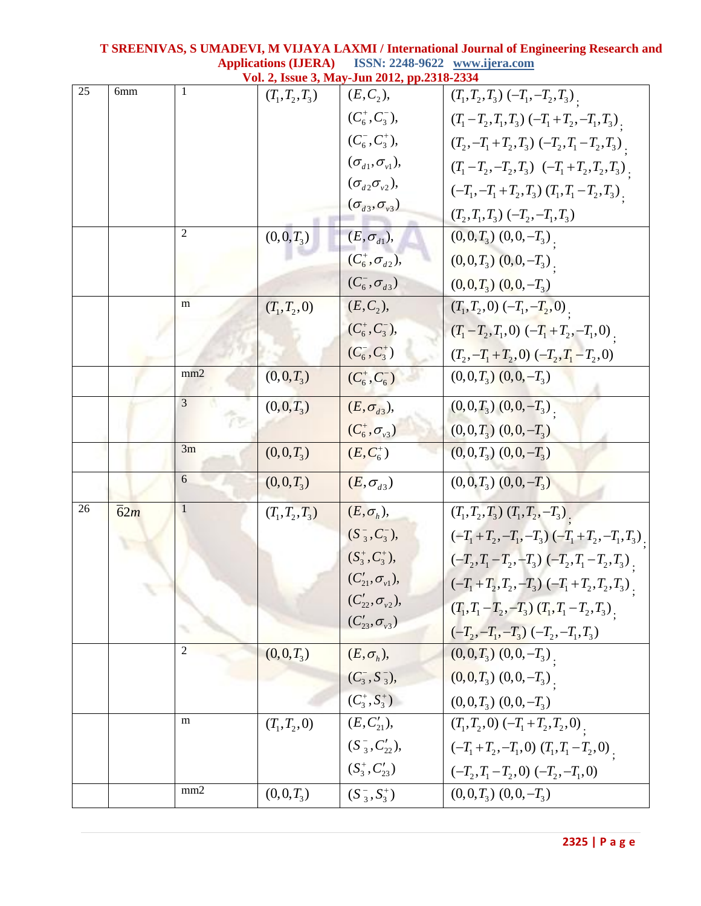|                 |                  |                |                   | Vol. 2, Issue 3, May-Jun 2012, pp.2318-2334             |                                                     |
|-----------------|------------------|----------------|-------------------|---------------------------------------------------------|-----------------------------------------------------|
| $\overline{25}$ | 6mm              |                | $(T_1, T_2, T_3)$ | $(E, C_2),$                                             | $(T_1, T_2, T_3) (-T_1, -T_2, T_3)$ .               |
|                 |                  |                |                   | $(C_6^+, C_3^-),$                                       | $(T_1 - T_2, T_1, T_3) (-T_1 + T_2, -T_1, T_3)$     |
|                 |                  |                |                   | $(C_6^-, C_3^+),$                                       | $(T_2, -T_1+T_2, T_3)$ $(-T_2, T_1-T_2, T_3)$ .     |
|                 |                  |                |                   | $(\sigma_{d1}, \sigma_{v1}),$                           | $(T_1 - T_2, -T_2, T_3)$ $(-T_1 + T_2, T_2, T_3)$ . |
|                 |                  |                |                   | $(\sigma_{d2}\sigma_{v2}),$                             | $(-T_1, -T_1+T_2, T_3)$ $(T_1, T_1-T_2, T_3)$       |
|                 |                  |                |                   | $(\sigma_{d3}, \sigma_{v3})$                            | $(T_2, T_1, T_3) (-T_2, -T_1, T_3)$                 |
|                 |                  | $\overline{2}$ | $(0,0,T_3)$       | $(E, \sigma_{d1}),$                                     | $(0,0,T_3)$ $(0,0,-T_3)$                            |
|                 |                  |                |                   | $(C_6^+, \sigma_{d2}),$                                 | $(0,0,T_3)$ $(0,0,-T_3)$                            |
|                 |                  |                |                   | $(\overline{C_6}^{\scriptscriptstyle{-}}, \sigma_{d3})$ | $(0,0,T_3)$ $(0,0,-T_3)$                            |
|                 |                  | m              | $(T_1, T_2, 0)$   | $(E, C_2),$                                             | $(T_1, T_2, 0)$ $(-T_1, -T_2, 0)$ .                 |
|                 |                  |                |                   | $(C_6^+, C_3^-),$                                       | $(T_1 - T_2, T_1, 0)$ $(-T_1 + T_2, -T_1, 0)$ .     |
|                 |                  |                |                   | $(C_6^-, C_3^+)$                                        | $(T_2, -T_1+T_2, 0)$ $(-T_2, T_1-T_2, 0)$           |
|                 |                  | mm2            | $(0,0,T_3)$       | $(C_6^+, C_6^-)$                                        | $(0,0,T_3)$ $(0,0,-T_3)$                            |
|                 |                  | $\overline{3}$ | $(0,0,T_3)$       | $(E, \sigma_{d3}),$                                     | $(0,0,T_3)$ $(0,0,-T_3)$                            |
|                 |                  |                |                   | $(C_6^+, \sigma_{v3})$                                  | $(0,0,T_3)$ $(0,0,-T_3)$                            |
|                 |                  | 3m             | $(0,0,T_3)$       | $(E, C_6^+)$                                            | $(0,0,T_3)$ $(0,0,-T_3)$                            |
|                 |                  | 6              | $(0,0,T_3)$       | $(E, \sigma_{d3})$                                      | $(0,0,T_3)$ $(0,0,-T_3)$                            |
| 26              | $\overline{6}2m$ | $\mathbf{1}$   | $(T_1, T_2, T_3)$ | $(E, \sigma_h)$ ,                                       | $(T_1, T_2, T_3)$ $(T_1, T_2, -T_3)$ .              |
|                 |                  |                |                   | $(S_3^-, C_3^-),$                                       | $(-T_1+T_2,-T_1,-T_3)$ $(-T_1+T_2,-T_1,T_3)$ .      |
|                 |                  |                |                   | $(S_3^+, C_3^+),$                                       | $(-T_2, T_1 - T_2, -T_3)$ $(-T_2, T_1 - T_2, T_3)$  |
|                 |                  |                |                   | $(C'_{21}, \sigma_{v1}),$                               | $(-T_1+T_2,T_2,-T_3)$ $(-T_1+T_2,T_2,T_3)$ .        |
|                 |                  |                |                   | $(C'_{22}, \sigma_{v2}),$                               | $(T_1, T_1 - T_2, -T_3)$ $(T_1, T_1 - T_2, T_3)$    |
|                 |                  |                |                   | $(C'_{23}, \sigma_{33})$                                | $(-T_2, -T_1, -T_3)$ $(-T_2, -T_1, T_3)$            |
|                 |                  | $\overline{2}$ | $(0,0,T_3)$       | $(E, \sigma_h)$ ,                                       | $(0,0,T_3)$ $(0,0,-T_3)$ .                          |
|                 |                  |                |                   | $(C_3^-, S_3^-),$                                       | $(0,0,T_3)$ $(0,0,-T_3)$                            |
|                 |                  |                |                   | $(C_3^+, S_3^+)$                                        | $(0,0,T_3)$ $(0,0,-T_3)$                            |
|                 |                  | m              | $(T_1, T_2, 0)$   | $(E, C'_{21}),$                                         | $(T_1, T_2, 0) (-T_1 + T_2, T_2, 0)$                |
|                 |                  |                |                   | $(S_3^-, C_{22}'),$                                     | $(-T_1+T_2,-T_1,0)$ $(T_1,T_1-T_2,0)$ .             |
|                 |                  |                |                   | $(S_3^+, C_{23}')$                                      | $(-T_2, T_1 - T_2, 0)$ $(-T_2, -T_1, 0)$            |
|                 |                  | mm2            | $(0,0,T_3)$       | $(S_3^-, S_3^+)$                                        | $(0,0,T_3)$ $(0,0,-T_3)$                            |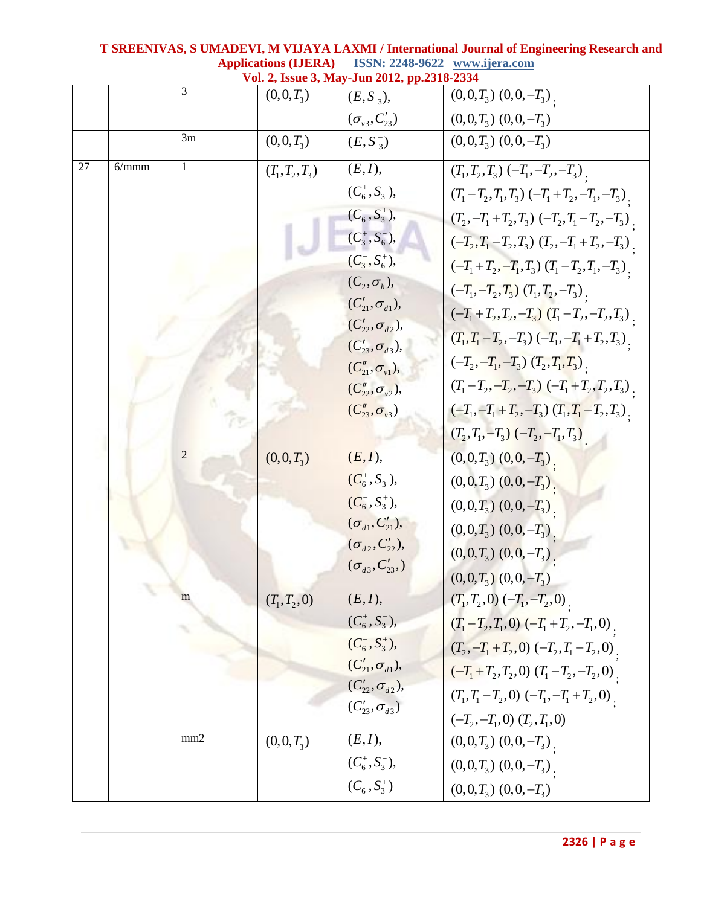|    |       |                |                   | Vol. 2, Issue 3, May-Jun 2012, pp.2318-2334            |                                                      |
|----|-------|----------------|-------------------|--------------------------------------------------------|------------------------------------------------------|
|    |       | 3              | $(0,0,T_3)$       | $(E, S_3^-),$                                          | $(0,0,T_3)$ $(0,0,-T_3)$ .                           |
|    |       |                |                   | $(\sigma_{v3}, C'_{23})$                               | $(0,0,T_3)$ $(0,0,-T_3)$                             |
|    |       | 3m             | $(0,0,T_3)$       | $(E, S_3^-)$                                           | $(0,0,T_3)$ $(0,0,-T_3)$                             |
| 27 | 6/mmm | $\mathbf{1}$   | $(T_1, T_2, T_3)$ | (E, I),                                                | $(T_1, T_2, T_3)$ $(-T_1, -T_2, -T_3)$ .             |
|    |       |                |                   | $(C_6^+, S_3^-),$                                      | $(T_1 - T_2, T_1, T_3)$ $(-T_1 + T_2, -T_1, -T_3)$ . |
|    |       |                |                   | $(C_6^-, S_3^+),$                                      | $(T_2, -T_1+T_2, T_3)$ $(-T_2, T_1-T_2, -T_3)$ .     |
|    |       |                |                   | $(C_3^+, S_6^-),$                                      | $(-T_2, T_1 - T_2, T_3)$ $(T_2, -T_1 + T_2, -T_3)$ . |
|    |       |                |                   | $(C_3^-, S_6^+),$                                      | $(-T_1+T_2,-T_1,T_3)$ $(T_1-T_2,T_1,-T_3)$ .         |
|    |       |                |                   | $(C_2, \sigma_h),$                                     | $(-T_1, -T_2, T_3)$ $(T_1, T_2, -T_3)$ .             |
|    |       |                |                   | $(C'_{21}, \sigma_{d1}),$                              | $(-T_1+T_2,T_2,-T_3)$ $(T_1-T_2,-T_2,T_3)$ .         |
|    |       |                |                   | $(C'_{22}, \sigma_{d2}),$<br>$(C'_{23}, \sigma_{d3}),$ | $(T_1, T_1 - T_2, -T_3) (-T_1, -T_1 + T_2, T_3)$     |
|    |       |                |                   | $(C''_{21}, \sigma_{v1}),$                             | $(-T_2, -T_1, -T_3)$ $(T_2, T_1, T_3)$ .             |
|    |       |                |                   | $(C''_{22}, \sigma_{v2}),$                             | $(T_1 - T_2, -T_2, -T_3) (-T_1 + T_2, T_2, T_3)$     |
|    |       |                |                   | $(C''_{23}, \sigma_{v3})$                              | $(-T_1, -T_1+T_2, -T_3)$ $(T_1, T_1-T_2, T_3)$ .     |
|    |       |                |                   |                                                        | $(T_2, T_1, -T_3) (-T_2, -T_1, T_3)$                 |
|    |       | $\overline{2}$ | $(0,0,T_3)$       | (E, I),                                                | $(0,0,T_3)$ $(0,0,-T_3)$ .                           |
|    |       |                |                   | $(C_6^+, S_3^-),$                                      | $(0,0,T_3)$ $(0,0,-T_3)$                             |
|    |       |                |                   | $(C_6^-, S_3^+),$                                      | $(0,0,T_3)$ $(0,0,-T_3)$                             |
|    |       |                |                   | $(\sigma_{d1}, C'_{21}),$                              | $(0,0,T_3)$ $(0,0,-T_3)$ .                           |
|    |       |                |                   | $(\sigma_{d2}, C'_{22}),$                              | $(0,0,T_3)$ $(0,0,-T_3)$                             |
|    |       |                |                   | $(\sigma_{d3}, C'_{23},)$                              | $(0,0,T_3)$ $(0,0,-T_3)$                             |
|    |       | m              | $(T_1, T_2, 0)$   | (E, I),                                                | $(T_1, T_2, 0)$ $(-T_1, -T_2, 0)$ .                  |
|    |       |                |                   | $(C_6^+, S_3^-),$                                      | $(T_1 - T_2, T_1, 0)$ $(-T_1 + T_2, -T_1, 0)$ .      |
|    |       |                |                   | $(C_6^-, S_3^+),$                                      | $(T_2, -T_1+T_2, 0)$ $(-T_2, T_1-T_2, 0)$ .          |
|    |       |                |                   | $(C'_{21}, \sigma_{d1}),$                              | $(-T_1+T_2,T_2,0)$ $(T_1-T_2,-T_2,0)$ .              |
|    |       |                |                   | $(C'_{22}, \sigma_{d2}),$                              | $(T_1, T_1 - T_2, 0) (-T_1, -T_1 + T_2, 0)$          |
|    |       |                |                   | $(C'_{23}, \sigma_{d3})$                               | $(-T_2, -T_1, 0)$ $(T_2, T_1, 0)$                    |
|    |       | mm2            | $(0,0,T_3)$       | (E, I),                                                | $(0,0,T_3)$ $(0,0,-T_3)$                             |
|    |       |                |                   | $(C_6^+, S_3^-),$                                      | $(0,0,T_3)$ $(0,0,-T_3)$                             |
|    |       |                |                   | $(C_6^-, S_3^+)$                                       | $(0,0,T_3)$ $(0,0,-T_3)$                             |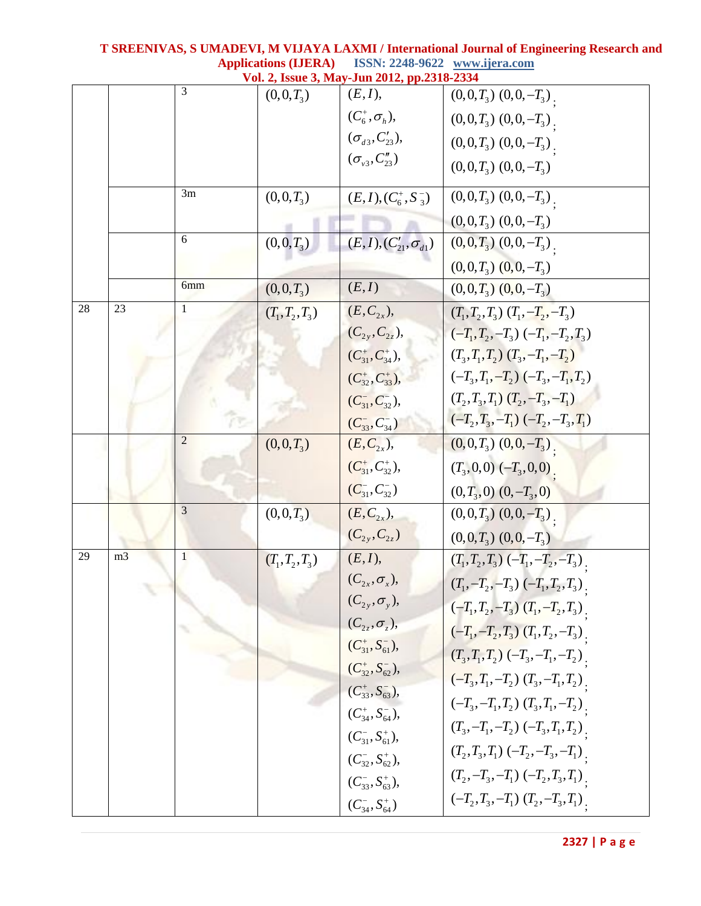|    |                |                |                   | Vol. 2, Issue 3, May-Jun 2012, pp.2318-2334 |                                          |
|----|----------------|----------------|-------------------|---------------------------------------------|------------------------------------------|
|    |                | 3              | $(0,0,T_3)$       | (E, I),                                     | $(0,0,T_3)$ $(0,0,-T_3)$                 |
|    |                |                |                   | $(C_6^+, \sigma_h)$ ,                       | $(0,0,T_3)$ $(0,0,-T_3)$                 |
|    |                |                |                   | $(\sigma_{d3}, C'_{23}),$                   | $(0,0,T_3)$ $(0,0,-T_3)$ .               |
|    |                |                |                   | $(\sigma_{v3}, C_{23}'')$                   | $(0,0,T_3)$ $(0,0,-T_3)$                 |
|    |                | 3m             | $(0,0,T_3)$       | $(E, I), (C_6^+, S_3^-)$                    | $(0,0,T_3)$ $(0,0,-T_3)$ .               |
|    |                |                |                   |                                             | $(0,0,T_3)$ $(0,0,-T_3)$                 |
|    |                | 6              | $(0,0,T_3)$       | $(E, I), (C'_{21}, \sigma_{d1})$            | $(0,0,T_3)$ $(0,0,-T_3)$                 |
|    |                |                |                   |                                             | $(0,0,T_3)$ $(0,0,-T_3)$                 |
|    |                | 6mm            | $(0,0,T_3)$       | (E,I)                                       | $(0,0,T_3)$ $(0,0,-T_3)$                 |
| 28 | 23             |                | $(T_1, T_2, T_3)$ | $(E, C_{2x}),$                              | $(T_1, T_2, T_3)$ $(T_1, -T_2, -T_3)$    |
|    |                |                |                   | $(C_{2y}, C_{2z}),$                         | $(-T_1, T_2, -T_3)$ $(-T_1, -T_2, T_3)$  |
|    |                |                |                   | $(C_{31}^+, C_{34}^+),$                     | $(T_3, T_1, T_2)$ $(T_3, -T_1, -T_2)$    |
|    |                |                |                   | $(C_{32}^+, C_{33}^+),$                     | $(-T_3, T_1, -T_2)$ $(-T_3, -T_1, T_2)$  |
|    |                |                |                   | $(C_{31}^-, C_{32}^-),$                     | $(T_2, T_3, T_1)$ $(T_2, -T_3, -T_1)$    |
|    |                |                |                   | $(C_{33}^-, C_{34}^-)$                      | $(-T_2, T_3, -T_1)$ $(-T_2, -T_3, T_1)$  |
|    |                | $\overline{2}$ | $(0,0,T_3)$       | $(E, C_{2x}),$                              | $(0,0,T_3)$ $(0,0,-T_3)$ .               |
|    |                |                |                   | $(C_{31}^+, C_{32}^+),$                     | $(T_3,0,0)$ $(-T_3,0,0)$                 |
|    |                |                |                   | $(C_{31}^-, C_{32}^-)$                      | $(0,T_3,0)$ $(0,-T_3,0)$                 |
|    |                | 3              | $(0,0,T_3)$       | $(E, C_{2x}),$                              | $(0,0,T_3)$ $(0,0,-T_3)$                 |
|    |                |                |                   | $(C_{2y}, C_{2z})$                          | $(0,0,T_3)$ $(0,0,-T_3)$                 |
| 29 | m <sub>3</sub> | 1              | $(T_1, T_2, T_3)$ | (E, I),                                     | $(T_1, T_2, T_3) (-T_1, -T_2, -T_3)$     |
|    |                |                |                   | $(C_{2x},\sigma_x),$                        | $(T_1, -T_2, -T_3)$ $(-T_1, T_2, T_3)$ . |
|    |                |                |                   | $(C_{2y}, \sigma_y),$                       | $(-T_1, T_2, -T_3)$ $(T_1, -T_2, T_3)$ . |
|    |                |                |                   | $(C_{2z}, \sigma_z),$                       | $(-T_1, -T_2, T_3)$ $(T_1, T_2, -T_3)$ . |
|    |                |                |                   | $(C_{31}^*, S_{61}^-),$                     | $(T_3, T_1, T_2)$ $(-T_3, -T_1, -T_2)$   |
|    |                |                |                   | $(C_{32}^+, S_{62}^-),$                     | $(-T_3, T_1, -T_2)$ $(T_3, -T_1, T_2)$ . |
|    |                |                |                   | $(C_{33}^+, S_{63}^-),$                     | $(-T_3, -T_1, T_2)$ $(T_3, T_1, -T_2)$ . |
|    |                |                |                   | $(C_{34}^+, S_{64}^-),$                     | $(T_3, -T_1, -T_2)$ $(-T_3, T_1, T_2)$   |
|    |                |                |                   | $(C_{31}^-, S_{61}^+),$                     |                                          |
|    |                |                |                   | $(C_{32}^-, S_{62}^+),$                     | $(T_2, T_3, T_1) (-T_2, -T_3, -T_1)$     |
|    |                |                |                   | $(C_{33}^-, S_{63}^+),$                     | $(T_2, -T_3, -T_1) (-T_2, T_3, T_1)$     |
|    |                |                |                   | $(C_{34}^-, S_{64}^+)$                      | $(-T_2, T_3, -T_1)$ $(T_2, -T_3, T_1)$ . |

**2327 | P a g e**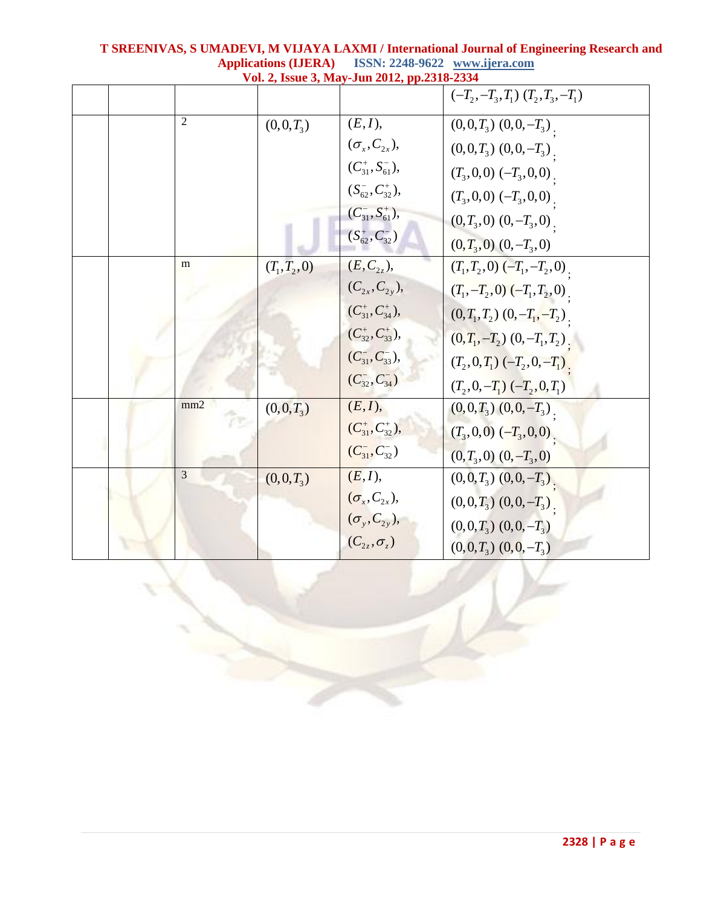|                |                 | Vol. 2, Issue 3, May-Jun 2012, pp.2318-2334 |                                        |
|----------------|-----------------|---------------------------------------------|----------------------------------------|
|                |                 |                                             | $(-T_2, -T_3, T_1)$ $(T_2, T_3, -T_1)$ |
| $\overline{2}$ | $(0,0,T_3)$     | (E, I),                                     | $(0,0,T_3)$ $(0,0,-T_3)$ .             |
|                |                 | $(\sigma_x, C_{2x}),$                       | $(0,0,T_3)$ $(0,0,-T_3)$ .             |
|                |                 | $(C_{31}^+, S_{61}^-)$ ,                    | $(T_3,0,0)$ $(-T_3,0,0)$               |
|                |                 | $(S_{62}^-, C_{32}^+),$                     | $(T_3,0,0)$ $(-T_3,0,0)$               |
|                |                 | $(C_{31}^-, S_{61}^+),$                     | $(0,T_3,0)$ $(0,-T_3,0)$               |
|                |                 | $(S_{62}^+, C_{32}^-)$                      | $(0, T_3, 0)$ $(0, -T_3, 0)$           |
| m              | $(T_1, T_2, 0)$ | $(E, C_{2z}),$                              | $(T_1, T_2, 0)$ $(-T_1, -T_2, 0)$      |
|                |                 | $(C_{2x}, C_{2y}),$                         | $(T_1, -T_2, 0)$ $(-T_1, T_2, 0)$ .    |
|                |                 | $(C_{31}^+, C_{34}^+),$                     | $(0, T_1, T_2)$ $(0, -T_1, -T_2)$      |
|                |                 | $(C_{32}^+, C_{33}^+),$                     | $(0, T_1, -T_2)$ $(0, -T_1, T_2)$ .    |
|                |                 | $(C_{31}^-, C_{33}^-),$                     | $(T_2, 0, T_1)$ $(-T_2, 0, -T_1)$      |
|                |                 | $(C_{32}^-, C_{34}^-)$                      | $(T_2, 0, -T_1) (-T_2, 0, T_1)$        |
| mm2            | $(0,0,T_3)$     | (E, I),                                     | $(0,0,T_3)$ $(0,0,-T_3)$               |
|                |                 | $(C_{31}^+, C_{32}^+),$                     | $(T_3, 0, 0)$ $(-T_3, 0, 0)$ .         |
|                |                 | $(C_{31}^-, C_{32}^-)$                      | $(0, T_3, 0)$ $(0, -T_3, 0)$           |
| 3              | $(0,0,T_3)$     | (E, I),                                     | $(0,0,T_3)$ $(0,0,-T_3)$ .             |
|                |                 | $(\sigma_x, C_{2x}),$                       | $(0,0,T_3)$ $(0,0,-T_3)$ .             |
|                |                 | $(\sigma_{y}, C_{2y}),$                     | $(0,0,T_3)$ $(0,0,-T_3)$               |
|                |                 | $(C_{2z},\sigma_z)$                         | $(0,0,T_3)$ $(0,0,-T_3)$               |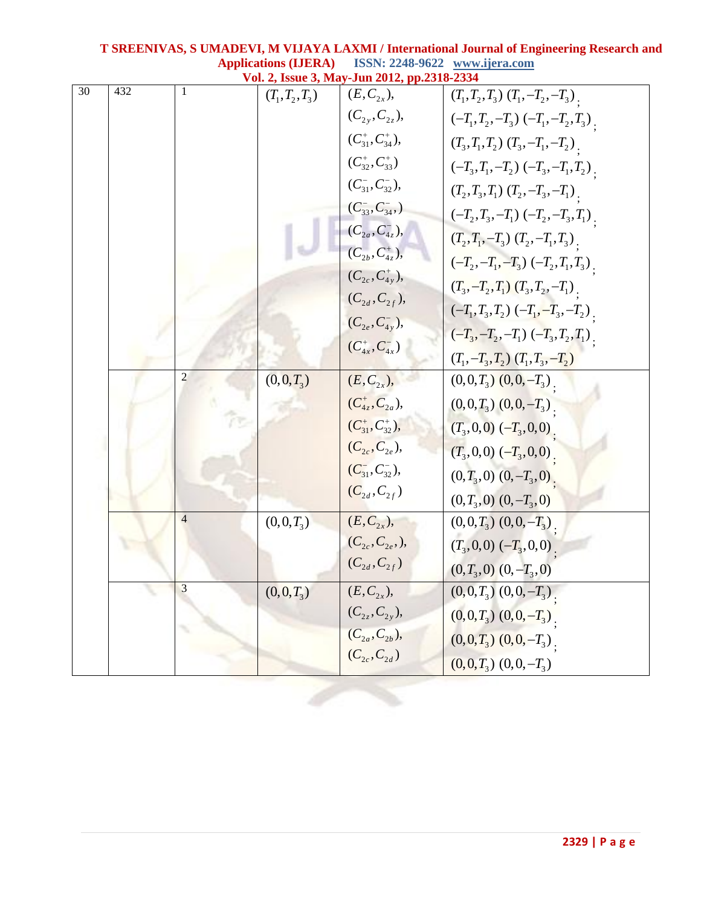|                 |     |                |                   | Vol. 2, Issue 3, May-Jun 2012, pp.2318-2334 |                                           |
|-----------------|-----|----------------|-------------------|---------------------------------------------|-------------------------------------------|
| $\overline{30}$ | 432 | 1              | $(T_1, T_2, T_3)$ | $(E, C_{2x}),$                              | $(T_1, T_2, T_3)$ $(T_1, -T_2, -T_3)$ .   |
|                 |     |                |                   | $(C_{2y}, C_{2z}),$                         | $(-T_1, T_2, -T_3)$ $(-T_1, -T_2, T_3)$   |
|                 |     |                |                   | $(C_{31}^+, C_{34}^+),$                     | $(T_3,T_1,T_2)$ $(T_3,-T_1,-T_2)$ .       |
|                 |     |                |                   | $(C_{32}^+, C_{33}^+)$                      | $(-T_3,T_1,-T_2)$ $(-T_3,-T_1,T_2)$ .     |
|                 |     |                |                   | $(C_{31}^-, C_{32}^-),$                     | $(T_2, T_3, T_1)$ $(T_2, -T_3, -T_1)$ .   |
|                 |     |                |                   | $(C_{33}^-, C_{34}^-,)$                     | $(-T_2,T_3,-T_1)$ $(-T_2,-T_3,T_1)$ .     |
|                 |     |                |                   | $(C_{2a}, C_{4z}^-),$                       | $(T_2, T_1, -T_3)$ $(T_2, -T_1, T_3)$ .   |
|                 |     |                |                   | $(C_{2b}, C_{4z}^+),$                       | $(-T_2, -T_1, -T_3)$ $(-T_2, T_1, T_3)$ . |
|                 |     |                |                   | $(C_{2c}, C_{4y}^+),$                       | $(T_3, -T_2, T_1)$ $(T_3, T_2, -T_1)$ .   |
|                 |     |                |                   | $(C_{2d}, C_{2f}),$                         | $(-T_1, T_3, T_2)$ $(-T_1, -T_3, -T_2)$ . |
|                 |     |                |                   | $(C_{2e}, C_{4y}^{-}),$                     | $(-T_3, -T_2, -T_1)$ $(-T_3, T_2, T_1)$ . |
|                 |     |                |                   | $(C_{4x}^+, C_{4x}^-)$                      | $(T_1, -T_3, T_2)$ $(T_1, T_3, -T_2)$     |
|                 |     | 2              |                   |                                             |                                           |
|                 |     |                | $(0,0,T_3)$       | $(E, C_{2x}),$                              | $(0,0,T_3)$ $(0,0,-T_3)$                  |
|                 |     |                |                   | $(C_{4z}^*, C_{2a}),$                       | $(0,0,T_3)$ $(0,0,-T_3)$                  |
|                 |     |                |                   | $(C_{31}^+, C_{32}^+),$                     | $(T_3, 0, 0)$ $(-T_3, 0, 0)$ .            |
|                 |     |                |                   | $(C_{2c}, C_{2e}),$                         | $(T_3, 0, 0)$ $(-T_3, 0, 0)$ .            |
|                 |     |                |                   | $(C_{31}^-, C_{32}^-),$                     | $(0, T_3, 0)$ $(0, -T_3, 0)$ .            |
|                 |     |                |                   | $(C_{2d}, C_{2f})$                          | $(0,T_3,0)$ $(0,-T_3,0)$                  |
|                 |     | $\overline{4}$ | $(0,0,T_3)$       | $(E, C_{2x}),$                              | $(0,0,T_3)$ $(0,0,-T_3)$ .                |
|                 |     |                |                   | $(C_{2c}, C_{2e}),$                         | $(T_3,0,0)$ $(-T_3,0,0)$                  |
|                 |     |                |                   | $(C_{2d}, C_{2f})$                          | $(0,T_3,0)$ $(0,-T_3,0)$                  |
|                 |     | 3              | $(0,0,T_3)$       | $(E, C_{2x}),$                              | $(0,0,T_3)$ $(0,0,-T_3)$ .                |
|                 |     |                |                   | $(C_{2z}, C_{2y}),$                         | $(0,0,T_3)$ $(0,0,-T_3)$ .                |
|                 |     |                |                   | $(C_{2a}, C_{2b}),$                         | $(0,0,T_3)$ $(0,0,-T_3)$                  |
|                 |     |                |                   | $(C_{2c}, C_{2d})$                          | $(0,0,T_3)$ $(0,0,-T_3)$                  |
|                 |     |                |                   |                                             |                                           |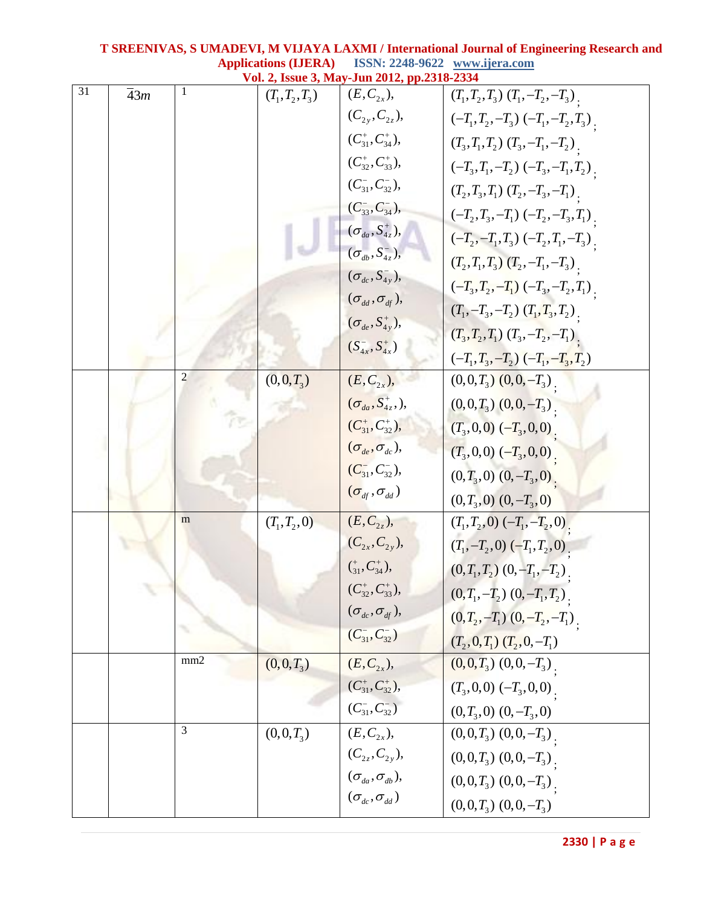|                 | www.qua.com<br>Vol. 2, Issue 3, May-Jun 2012, pp.2318-2334 |     |                   |                                                           |                                           |
|-----------------|------------------------------------------------------------|-----|-------------------|-----------------------------------------------------------|-------------------------------------------|
| $\overline{31}$ | $\overline{4}3m$                                           | 1   | $(T_1, T_2, T_3)$ | $(E, C_{2x}),$                                            | $(T_1, T_2, T_3)$ $(T_1, -T_2, -T_3)$ .   |
|                 |                                                            |     |                   | $(C_{2y}, C_{2z}),$                                       | $(-T_1, T_2, -T_3)$ $(-T_1, -T_2, T_3)$ . |
|                 |                                                            |     |                   | $(C_{31}^+, C_{34}^+),$                                   | $(T_3, T_1, T_2)$ $(T_3, -T_1, -T_2)$ .   |
|                 |                                                            |     |                   | $(C_{32}^+, C_{33}^+),$                                   | $(-T_3,T_1,-T_2)$ $(-T_3,-T_1,T_2)$       |
|                 |                                                            |     |                   | $(C_{31}^-, C_{32}^-),$                                   | $(T_2, T_3, T_1)$ $(T_2, -T_3, -T_1)$ .   |
|                 |                                                            |     |                   | $(C_{33}^-, C_{34}^-),$                                   | $(-T_2,T_3,-T_1)$ $(-T_2,-T_3,T_1)$       |
|                 |                                                            |     |                   | $(\sigma_{da}, S_{4z}^{\dagger}),$                        | $(-T_2, -T_1, T_3)$ $(-T_2, T_1, -T_3)$ . |
|                 |                                                            |     |                   | $(\sigma_{db}^{\phantom{\dag}},S_{4z}^{\phantom{\dag}}),$ | $(T_2, T_1, T_3)$ $(T_2, -T_1, -T_3)$ .   |
|                 |                                                            |     |                   | $(\sigma_{dc}, S_{4y}^{\scriptscriptstyle -}),$           | $(-T_3, T_2, -T_1)$ $(-T_3, -T_2, T_1)$   |
|                 |                                                            |     |                   | $(\sigma_{dd},\sigma_{df}),$                              | $(T_1, -T_3, -T_2)$ $(T_1, T_3, T_2)$     |
|                 |                                                            |     |                   | $(\sigma_{_{de}}, S^{+}_{_{4y}}),$                        | $(T_3, T_2, T_1)$ $(T_3, -T_2, -T_1)$ .   |
|                 |                                                            |     |                   | $(S_{4x}^-, S_{4x}^+)$                                    | $(-T_1, T_3, -T_2)$ $(-T_1, -T_3, T_2)$   |
|                 |                                                            | 2   | $(0,0,T_3)$       | $(E, C_{2x}),$                                            | $(0,0,T_3)$ $(0,0,-T_3)$                  |
|                 |                                                            |     |                   | $(\sigma_{da}, S^+_{4z},),$                               | $(0,0,T_3)$ $(0,0,-T_3)$                  |
|                 |                                                            |     |                   | $(C_{31}^+, C_{32}^+),$                                   | $(T_3, 0, 0)$ $(-T_3, 0, 0)$ .            |
|                 |                                                            |     |                   | $(\sigma_{_{de}}, \sigma_{_{dc}}),$                       | $(T_3, 0, 0)$ $(-T_3, 0, 0)$ .            |
|                 |                                                            |     |                   | $(C_{31}^-, C_{32}^-),$                                   | $(0, T_3, 0)$ $(0, -T_3, 0)$ .            |
|                 |                                                            |     |                   | $(\sigma_{_{df}},\sigma_{_{dd}})$                         | $(0,T_3,0)$ $(0,-T_3,0)$                  |
|                 |                                                            | m   | $(T_1, T_2, 0)$   | $(E, C_{2z}),$                                            | $(T_1, T_2, 0) (-T_1, -T_2, 0)$           |
|                 |                                                            |     |                   | $(C_{2x}, C_{2y}),$                                       | $(T_1, -T_2, 0) (-T_1, T_2, 0)$           |
|                 |                                                            |     |                   | $\binom{^+}{31}, C^+_{34}$ ,                              | $(0,T_1,T_2)$ $(0,-T_1,-T_2)$             |
|                 |                                                            |     |                   | $(C_{32}^+, C_{33}^+),$                                   | $(0, T_1, -T_2)$ $(0, -T_1, T_2)$         |
|                 |                                                            |     |                   | $(\sigma_{_{dc}},\sigma_{_{df}}),$                        | $(0, T_2, -T_1)$ $(0, -T_2, -T_1)$ .      |
|                 |                                                            |     |                   | $(C_{31}^-, C_{32}^-)$                                    | $(T_2, 0, T_1)$ $(T_2, 0, -T_1)$          |
|                 |                                                            | mm2 | $(0,0,T_3)$       | $(E, C_{2x}),$                                            | $(0,0,T_3)$ $(0,0,-T_3)$                  |
|                 |                                                            |     |                   | $(C_{31}^+, C_{32}^+),$                                   | $(T_3,0,0)$ $(-T_3,0,0)$                  |
|                 |                                                            |     |                   | $(C^-_{31}, C^-_{32})$                                    | $(0,T_3,0)$ $(0,-T_3,0)$                  |
|                 |                                                            | 3   | $(0,0,T_3)$       | $(E, C_{2x}),$                                            | $(0,0,T_3)$ $(0,0,-T_3)$                  |
|                 |                                                            |     |                   | $(C_{2z}, C_{2y}),$                                       | $(0,0,T_3)$ $(0,0,-T_3)$                  |
|                 |                                                            |     |                   | $(\sigma_{_{da}}, \sigma_{_{db}}),$                       | $(0,0,T_3)$ $(0,0,-T_3)$                  |
|                 |                                                            |     |                   | $(\sigma_{_{dc}},\sigma_{_{dd}})$                         | $(0,0,T_3)$ $(0,0,-T_3)$                  |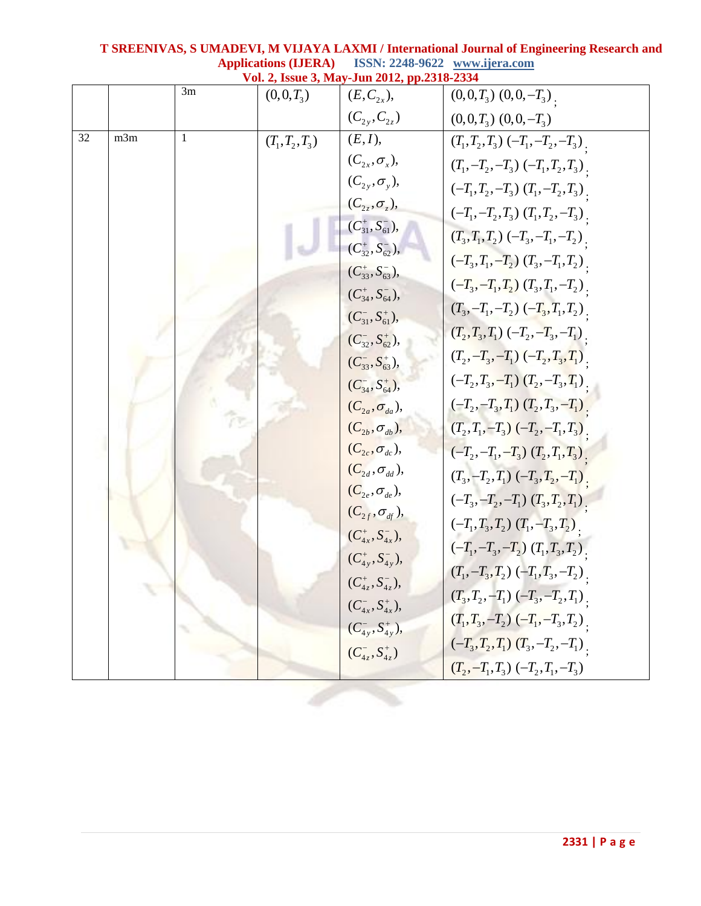|    |     |    |                   | Vol. 2, Issue 3, May-Jun 2012, pp.2318-2334        |                                          |
|----|-----|----|-------------------|----------------------------------------------------|------------------------------------------|
|    |     | 3m | $(0,0,T_3)$       | $(E, C_{2r}),$                                     | $(0,0,T_3)$ $(0,0,-T_3)$                 |
|    |     |    |                   | $(C_{2v}, C_{2z})$                                 | $(0,0,T_3)$ $(0,0,-T_3)$                 |
| 32 | m3m | 1  | $(T_1, T_2, T_3)$ | (E, I),                                            | $(T_1, T_2, T_3) (-T_1, -T_2, -T_3)$     |
|    |     |    |                   | $(C_{2x}, \sigma_x),$                              | $(T_1, -T_2, -T_3) (-T_1, T_2, T_3)$     |
|    |     |    |                   | $(C_{2y}, \sigma_y),$                              | $(-T_1, T_2, -T_3)$ $(T_1, -T_2, T_3)$ . |
|    |     |    |                   | $(C_{2z}, \sigma_z),$                              | $(-T_1, -T_2, T_3)$ $(T_1, T_2, -T_3)$ . |
|    |     |    |                   | $(C_{31}^+, S_{61}^-),$                            | $(T_3, T_1, T_2) (-T_3, -T_1, -T_2)$     |
|    |     |    |                   | $(C_{32}^+, S_{62}^-),$                            | $(-T_3, T_1, -T_2)$ $(T_3, -T_1, T_2)$   |
|    |     |    |                   | $(C_{33}^+, S_{63}^-),$                            | $(-T_3, -T_1, T_2)$ $(T_3, T_1, -T_2)$   |
|    |     |    |                   | $(C_{34}^+, S_{64}^-)$ ,                           | $(T_3, -T_1, -T_2)$ $(-T_3, T_1, T_2)$ . |
|    |     |    |                   | $(C_{31}^-, S_{61}^+),$                            |                                          |
|    |     |    |                   | $(C_{32}^-, S_{62}^+),$                            | $(T_2, T_3, T_1) (-T_2, -T_3, -T_1)$     |
|    |     |    |                   | $(C_{33}^-, S_{63}^+),$                            | $(T_2, -T_3, -T_1) (-T_2, T_3, T_1)$     |
|    |     |    |                   | $(C_{34}^-, S_{64}^+),$                            | $(-T_2, T_3, -T_1)$ $(T_2, -T_3, T_1)$   |
|    |     |    |                   | $(C_{2a}, \sigma_{da}),$                           | $(-T_2, -T_3, T_1)$ $(T_2, T_3, -T_1)$   |
|    |     |    |                   | $(C_{2b}, \sigma_{db})$ ,                          | $(T_2, T_1, -T_3) (-T_2, -T_1, T_3)$     |
|    |     |    |                   | $(C_{2c}, \sigma_{dc}),$                           | $(-T_2, -T_1, -T_3)$ $(T_2, T_1, T_3)$   |
|    |     |    |                   | $(C_{2d}, \sigma_{dd}),$                           | $(T_3, -T_2, T_1) (-T_3, T_2, -T_1)$     |
|    |     |    |                   | $(C_{2e}, \sigma_{de}),$                           | $(-T_3, -T_2, -T_1)$ $(T_3, T_2, T_1)$   |
|    |     |    |                   | $(C_{2f}, \sigma_{df}),$                           | $(-T_1, T_3, T_2)$ $(T_1, -T_3, T_2)$    |
|    |     |    |                   | $(C_{4x}^+, S_{4x}^-),$<br>$(C_{4y}^+, S_{4y}^-),$ | $(-T_1, -T_3, -T_2)$ $(T_1, T_3, T_2)$   |
|    |     |    |                   |                                                    | $(T_1, -T_3, T_2)$ $(-T_1, T_3, -T_2)$ . |
|    |     |    |                   | $(C_{4z}^+, S_{4z}^-),$                            | $(T_3, T_2, -T_1) (-T_3, -T_2, T_1)$     |
|    |     |    |                   | $(C_{4x}^-, S_{4x}^+),$                            |                                          |
|    |     |    |                   | $(C_{4v}^-, S_{4v}^+),$                            | $(T_1, T_3, -T_2)$ $(-T_1, -T_3, T_2)$ . |
|    |     |    |                   | $(C_{4_7}^-, S_{4_7}^+)$                           | $(-T_3, T_2, T_1)$ $(T_3, -T_2, -T_1)$ . |
|    |     |    |                   |                                                    | $(T_2, -T_1, T_3) (-T_2, T_1, -T_3)$     |
|    |     |    |                   |                                                    |                                          |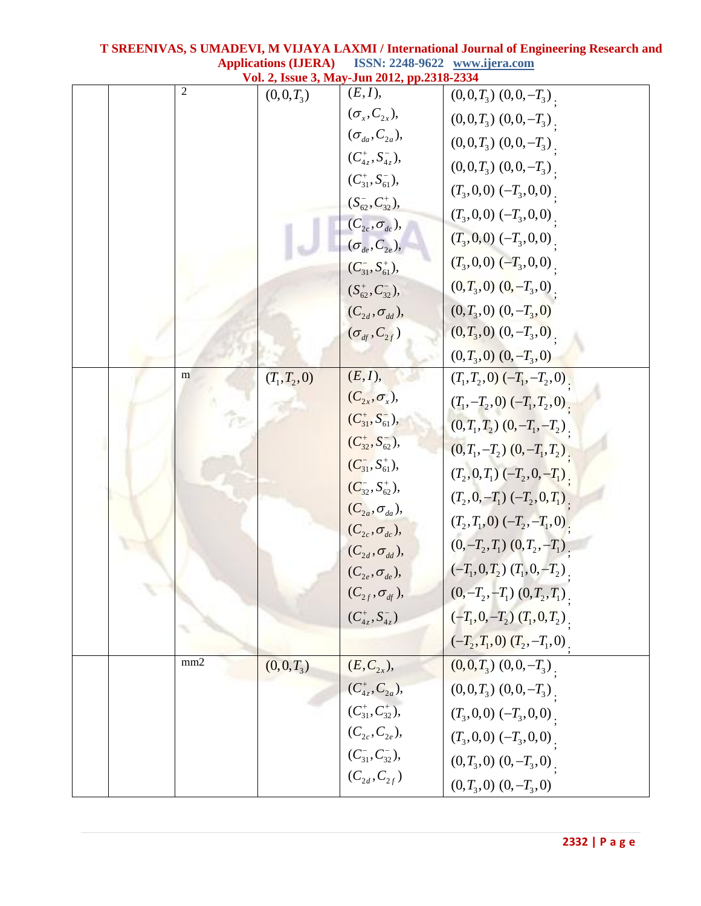| www.qua.com<br>Vol. 2, Issue 3, May-Jun 2012, pp.2318-2334 |                |                 |                                |                                     |
|------------------------------------------------------------|----------------|-----------------|--------------------------------|-------------------------------------|
|                                                            | $\overline{2}$ | $(0,0,T_3)$     | (E, I),                        | $(0,0,T_3)$ $(0,0,-T_3)$            |
|                                                            |                |                 | $(\sigma_x, C_{2x}),$          | $(0,0,T_3)$ $(0,0,-T_3)$            |
|                                                            |                |                 | $(\sigma_{da}, C_{2a}),$       | $(0,0,T_3)$ $(0,0,-T_3)$ .          |
|                                                            |                |                 | $(C_{4z}^+, S_{4z}^-),$        | $(0,0,T_3)$ $(0,0,-T_3)$ .          |
|                                                            |                |                 | $(C_{31}^+, S_{61}^-)$ ,       | $(T_3,0,0)$ $(-T_3,0,0)$            |
|                                                            |                |                 | $(S_{62}^-, C_{32}^+),$        | $(T_3,0,0)$ $(-T_3,0,0)$            |
|                                                            |                |                 | $(C_{2c}, \sigma_{dc})$ ,      | $(T_3,0,0)$ $(-T_3,0,0)$            |
|                                                            |                |                 | $(\sigma_{_{de}}, C_{_{2e}}),$ | $(T_3, 0, 0)$ $(-T_3, 0, 0)$        |
|                                                            |                |                 | $(C_{31}^-, S_{61}^+),$        | $(0, T_3, 0)$ $(0, -T_3, 0)$        |
|                                                            |                |                 | $(S_{62}^+, C_{32}^-),$        |                                     |
|                                                            |                |                 | $(C_{2d}, \sigma_{dd}),$       | $(0,T_3,0)$ $(0,-T_3,0)$            |
|                                                            |                |                 | $(\sigma_{_{df}}, C_{_{2f}})$  | $(0, T_3, 0)$ $(0, -T_3, 0)$ .      |
|                                                            | m              |                 | (E, I),                        | $(0, T_3, 0)$ $(0, -T_3, 0)$        |
|                                                            |                | $(T_1, T_2, 0)$ | $(C_{2x}, \sigma_x),$          | $(T_1, T_2, 0)$ $(-T_1, -T_2, 0)$   |
|                                                            | হি             |                 | $(C_{31}^+, S_{61}^-),$        | $(T_1, -T_2, 0)$ $(-T_1, T_2, 0)$ . |
|                                                            |                |                 | $(C_{32}^+, S_{62}^-),$        | $(0, T_1, T_2)$ $(0, -T_1, -T_2)$   |
|                                                            |                |                 | $(C_{31}^-, S_{61}^+),$        | $(0, T_1, -T_2)$ $(0, -T_1, T_2)$ . |
|                                                            |                |                 | $(C_{32}^-, S_{62}^+),$        | $(T_2, 0, T_1) (-T_2, 0, -T_1)$     |
|                                                            |                |                 | $(C_{2a}, \sigma_{da}),$       | $(T_2, 0, -T_1) (-T_2, 0, T_1)$ .   |
|                                                            |                |                 | $(C_{2c}, \sigma_{dc}),$       | $(T_2, T_1, 0) (-T_2, -T_1, 0)$     |
|                                                            |                |                 | $(C_{2d}, \sigma_{dd}),$       | $(0,-T_2,T_1)$ $(0,T_2,-T_1)$       |
|                                                            |                |                 | $(C_{2e}, \sigma_{de}),$       | $(-T_1, 0, T_2)$ $(T_1, 0, -T_2)$   |
|                                                            |                |                 | $(C_{2f}, \sigma_{df}),$       | $(0,-T_2,-T_1)$ $(0,T_2,T_1)$ .     |
|                                                            |                |                 | $(C_{4z}^+, S_{4z}^-)$         | $(-T_1, 0, -T_2)$ $(T_1, 0, T_2)$ . |
|                                                            |                |                 |                                | $(-T_2, T_1, 0)$ $(T_2, -T_1, 0)$ . |
|                                                            | mm2            | $(0,0,T_3)$     | $(E, C_{2x}),$                 | $(0,0,T_3)$ $(0,0,-T_3)$            |
|                                                            |                |                 | $(C_{4z}^+, C_{2a}),$          | $(0,0,T_3)$ $(0,0,-T_3)$            |
|                                                            |                |                 | $(C_{31}^+, C_{32}^+),$        | $(T_3,0,0)$ $(-T_3,0,0)$            |
|                                                            |                |                 | $(C_{2c}, C_{2e}),$            | $(T_3,0,0)$ $(-T_3,0,0)$            |
|                                                            |                |                 | $(C_{31}^-, C_{32}^-)$ ,       | $(0,T_3,0)$ $(0,-T_3,0)$ .          |
|                                                            |                |                 | $(C_{2d}, C_{2f})$             | $(0,T_3,0)$ $(0,-T_3,0)$            |
|                                                            |                |                 |                                |                                     |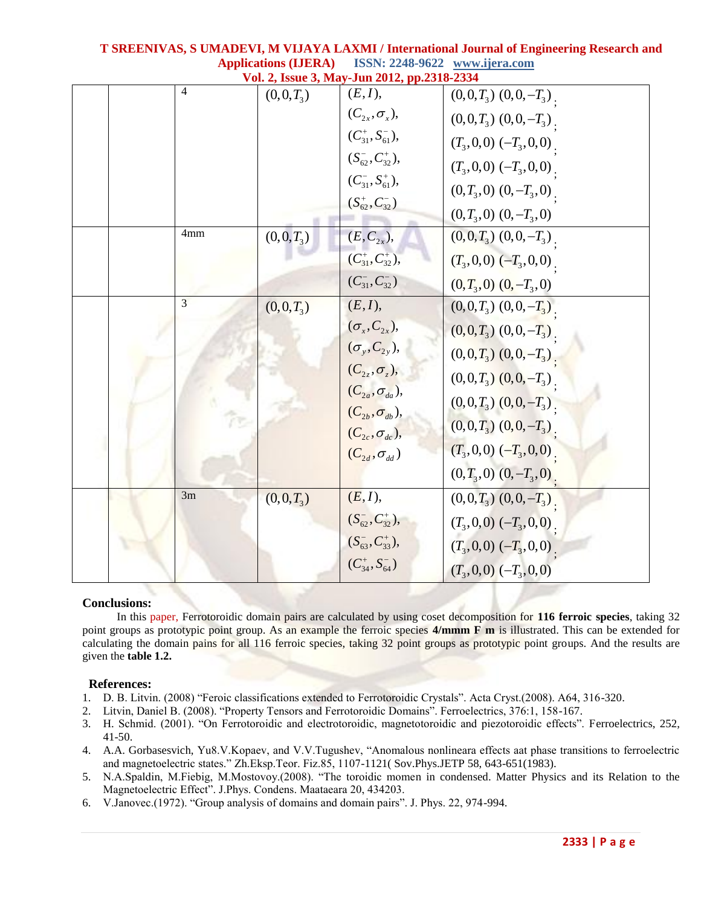| Vol. 2, Issue 3, May-Jun 2012, pp.2318-2334 |     |             |                          |                              |
|---------------------------------------------|-----|-------------|--------------------------|------------------------------|
|                                             | 4   | $(0,0,T_3)$ | (E, I),                  | $(0,0,T_3)$ $(0,0,-T_3)$     |
|                                             |     |             | $(C_{2x}, \sigma_x),$    | $(0,0,T_3)$ $(0,0,-T_3)$     |
|                                             |     |             | $(C_{31}^+, S_{61}^-)$ , | $(T_3,0,0)$ $(-T_3,0,0)$     |
|                                             |     |             | $(S_{62}^-, C_{32}^+),$  | $(T_3,0,0)$ $(-T_3,0,0)$     |
|                                             |     |             | $(C_{31}^-, S_{61}^+),$  | $(0,T_3,0)$ $(0,-T_3,0)$     |
|                                             |     |             | $(S^+_{62}, C^-_{32})$   | $(0,T_3,0)$ $(0,-T_3,0)$     |
|                                             | 4mm | $(0,0,T_3)$ | $(E, C_{2x}),$           | $(0,0,T_3)$ $(0,0,-T_3)$     |
|                                             |     |             | $(C_{31}^+, C_{32}^+),$  | $(T_3,0,0)$ $(-T_3,0,0)$     |
|                                             |     |             | $(C^-_{31}, C^-_{32})$   | $(0, T_3, 0)$ $(0, -T_3, 0)$ |
|                                             | 3   |             | (E, I),                  |                              |
|                                             |     | $(0,0,T_3)$ | $(\sigma_x, C_{2x}),$    | $(0,0,T_3)$ $(0,0,-T_3)$     |
|                                             |     |             |                          | $(0,0,T_3)$ $(0,0,-T_3)$     |
|                                             |     |             | $(\sigma_{y}, C_{2y}),$  | $(0,0,T_3)$ $(0,0,-T_3)$     |
|                                             |     |             | $(C_{2z}, \sigma_z),$    | $(0,0,T_3)$ $(0,0,-T_3)$     |
|                                             |     |             | $(C_{2a}, \sigma_{da}),$ | $(0,0,T_3)$ $(0,0,-T_3)$     |
|                                             |     |             | $(C_{2b}, \sigma_{db}),$ | $(0,0,T_3)$ $(0,0,-T_3)$ .   |
|                                             |     |             | $(C_{2c}, \sigma_{dc}),$ | $(T_3, 0, 0)$ $(-T_3, 0, 0)$ |
|                                             |     |             | $(C_{2d}, \sigma_{dd})$  | $(0,T_3,0)$ $(0,-T_3,0)$     |
|                                             | 3m  |             |                          |                              |
|                                             |     | $(0,0,T_3)$ | (E, I),                  | $(0,0,T_3)$ $(0,0,-T_3)$     |
|                                             |     |             | $(S_{62}^-, C_{32}^+),$  | $(T_3,0,0)$ $(-T_3,0,0)$     |
|                                             |     |             | $(S_{63}^-, C_{33}^+),$  | $(T_3,0,0)$ $(-T_3,0,0)$     |
|                                             |     |             | $(C_{34}^+, S_{64}^-)$   | $(T_3,0,0)$ $(-T_3,0,0)$     |

### **Conclusions:**

 In this paper, Ferrotoroidic domain pairs are calculated by using coset decomposition for **116 ferroic species**, taking 32 point groups as prototypic point group. As an example the ferroic species **4/mmm F m** is illustrated. This can be extended for calculating the domain pains for all 116 ferroic species, taking 32 point groups as prototypic point groups. And the results are given the **table 1.2.**

### **References:**

- 1. D. B. Litvin. (2008) "Feroic classifications extended to Ferrotoroidic Crystals". Acta Cryst.(2008). A64, 316-320.
- 2. Litvin, Daniel B. (2008). "Property Tensors and Ferrotoroidic Domains". Ferroelectrics, 376:1, 158-167.
- 3. H. Schmid. (2001). "On Ferrotoroidic and electrotoroidic, magnetotoroidic and piezotoroidic effects". Ferroelectrics, 252, 41-50.
- 4. A.A. Gorbasesvich, Yu8.V.Kopaev, and V.V.Tugushev, "Anomalous nonlineara effects aat phase transitions to ferroelectric and magnetoelectric states." Zh.Eksp.Teor. Fiz.85, 1107-1121( Sov.Phys.JETP 58, 643-651(1983).
- 5. N.A.Spaldin, M.Fiebig, M.Mostovoy.(2008). "The toroidic momen in condensed. Matter Physics and its Relation to the Magnetoelectric Effect". J.Phys. Condens. Maataeara 20, 434203.
- 6. V.Janovec.(1972). "Group analysis of domains and domain pairs". J. Phys. 22, 974-994.